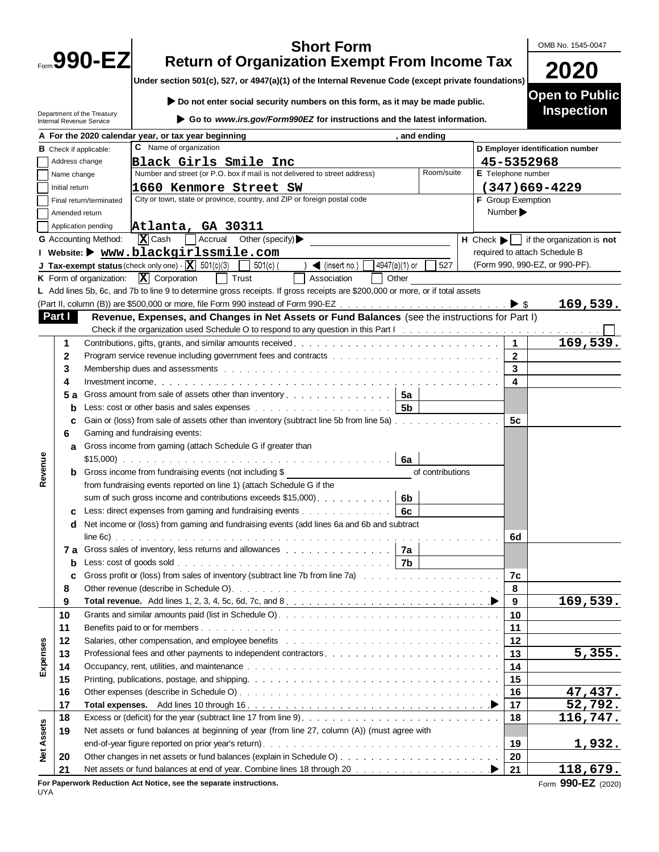|                                                                                                    |                |                                                        | <b>Short Form</b>                                                                                                                                                                                                              |      |                    |                          | OMB No. 1545-0047                                                 |  |  |
|----------------------------------------------------------------------------------------------------|----------------|--------------------------------------------------------|--------------------------------------------------------------------------------------------------------------------------------------------------------------------------------------------------------------------------------|------|--------------------|--------------------------|-------------------------------------------------------------------|--|--|
| Form 990-EZ                                                                                        |                |                                                        | <b>Return of Organization Exempt From Income Tax</b>                                                                                                                                                                           |      |                    |                          |                                                                   |  |  |
|                                                                                                    |                |                                                        |                                                                                                                                                                                                                                | 2020 |                    |                          |                                                                   |  |  |
| Under section 501(c), 527, or 4947(a)(1) of the Internal Revenue Code (except private foundations) |                |                                                        |                                                                                                                                                                                                                                |      |                    |                          |                                                                   |  |  |
|                                                                                                    |                |                                                        | Do not enter social security numbers on this form, as it may be made public.                                                                                                                                                   |      |                    |                          | <b>Open to Public</b>                                             |  |  |
|                                                                                                    |                | Department of the Treasury<br>Internal Revenue Service | Go to www.irs.gov/Form990EZ for instructions and the latest information.                                                                                                                                                       |      |                    |                          | <b>Inspection</b>                                                 |  |  |
|                                                                                                    |                |                                                        | A For the 2020 calendar year, or tax year beginning<br>, and ending                                                                                                                                                            |      |                    |                          |                                                                   |  |  |
|                                                                                                    |                | <b>B</b> Check if applicable:                          | C Name of organization                                                                                                                                                                                                         |      |                    |                          | D Employer identification number                                  |  |  |
|                                                                                                    | Address change |                                                        | Black Girls Smile Inc                                                                                                                                                                                                          |      |                    | 45-5352968               |                                                                   |  |  |
|                                                                                                    | Name change    |                                                        | Number and street (or P.O. box if mail is not delivered to street address)<br>Room/suite                                                                                                                                       |      | E Telephone number |                          |                                                                   |  |  |
|                                                                                                    | Initial return | 1660 Kenmore Street SW                                 | $(347)669 - 4229$                                                                                                                                                                                                              |      |                    |                          |                                                                   |  |  |
|                                                                                                    |                | Final return/terminated                                | City or town, state or province, country, and ZIP or foreign postal code                                                                                                                                                       |      |                    | <b>F</b> Group Exemption |                                                                   |  |  |
|                                                                                                    | Amended return |                                                        |                                                                                                                                                                                                                                |      |                    | Number >                 |                                                                   |  |  |
|                                                                                                    |                | Application pending                                    | Atlanta, GA 30311                                                                                                                                                                                                              |      |                    |                          |                                                                   |  |  |
|                                                                                                    |                | G Accounting Method:                                   | $\sqrt{\mathbf{X}}$ Cash<br>$\exists$ Accrual Other (specify)                                                                                                                                                                  |      |                    |                          | $H$ Check $\blacktriangleright$ if the organization is <b>not</b> |  |  |
|                                                                                                    |                |                                                        | I Website: ▶ www.blackgirlssmile.com                                                                                                                                                                                           |      |                    |                          | required to attach Schedule B                                     |  |  |
|                                                                                                    |                |                                                        | <b>J Tax-exempt status</b> (check only one) $\cdot$ $\boxed{\mathbf{X}}$ 501(c)(3)<br>4947(a)(1) or<br>527<br>$501(c)$ (<br>$\sum$ (insert no.)                                                                                |      |                    |                          | (Form 990, 990-EZ, or 990-PF).                                    |  |  |
|                                                                                                    |                | K Form of organization:                                | $\overline{\mathbf{X}}$ Corporation<br>  Trust<br>Association<br>Other                                                                                                                                                         |      |                    |                          |                                                                   |  |  |
|                                                                                                    |                |                                                        | L Add lines 5b, 6c, and 7b to line 9 to determine gross receipts. If gross receipts are \$200,000 or more, or if total assets                                                                                                  |      |                    |                          |                                                                   |  |  |
|                                                                                                    |                |                                                        |                                                                                                                                                                                                                                |      |                    |                          | 169,539.                                                          |  |  |
|                                                                                                    | Part I         |                                                        | Revenue, Expenses, and Changes in Net Assets or Fund Balances (see the instructions for Part I)                                                                                                                                |      |                    |                          |                                                                   |  |  |
|                                                                                                    |                |                                                        | Check if the organization used Schedule O to respond to any question in this Part I response to the content of the organization used Schedule O to respond to any question in this Part I response to the content of the origi |      |                    |                          |                                                                   |  |  |
|                                                                                                    | 1              |                                                        |                                                                                                                                                                                                                                |      |                    | $\mathbf 1$              | 169,539.                                                          |  |  |
|                                                                                                    | 2              |                                                        |                                                                                                                                                                                                                                |      |                    | $\mathbf{2}$             |                                                                   |  |  |
|                                                                                                    | 3              |                                                        |                                                                                                                                                                                                                                |      |                    | 3                        |                                                                   |  |  |
|                                                                                                    | 4              |                                                        |                                                                                                                                                                                                                                |      |                    | 4                        |                                                                   |  |  |
|                                                                                                    | 5 а            |                                                        | Gross amount from sale of assets other than inventory 5a                                                                                                                                                                       |      |                    |                          |                                                                   |  |  |
|                                                                                                    | b              |                                                        |                                                                                                                                                                                                                                |      |                    |                          |                                                                   |  |  |
|                                                                                                    | с              |                                                        | Gain or (loss) from sale of assets other than inventory (subtract line 5b from line 5a)                                                                                                                                        |      |                    | 5c                       |                                                                   |  |  |
|                                                                                                    | 6              |                                                        | Gaming and fundraising events:                                                                                                                                                                                                 |      |                    |                          |                                                                   |  |  |
|                                                                                                    |                |                                                        | a Gross income from gaming (attach Schedule G if greater than<br>6a                                                                                                                                                            |      |                    |                          |                                                                   |  |  |
| Revenue                                                                                            |                |                                                        | <b>b</b> Gross income from fundraising events (not including \$<br>of contributions                                                                                                                                            |      |                    |                          |                                                                   |  |  |
|                                                                                                    |                |                                                        | from fundraising events reported on line 1) (attach Schedule G if the                                                                                                                                                          |      |                    |                          |                                                                   |  |  |
|                                                                                                    |                |                                                        | sum of such gross income and contributions exceeds \$15,000).<br>6b                                                                                                                                                            |      |                    |                          |                                                                   |  |  |
|                                                                                                    | c              |                                                        | Less: direct expenses from gaming and fundraising events<br>6с                                                                                                                                                                 |      |                    |                          |                                                                   |  |  |
|                                                                                                    | d              |                                                        | Net income or (loss) from gaming and fundraising events (add lines 6a and 6b and subtract                                                                                                                                      |      |                    |                          |                                                                   |  |  |
|                                                                                                    |                |                                                        |                                                                                                                                                                                                                                |      |                    | 6d                       |                                                                   |  |  |
|                                                                                                    |                |                                                        | 7a Gross sales of inventory, less returns and allowances entertainment of the State of Ta                                                                                                                                      |      |                    |                          |                                                                   |  |  |
|                                                                                                    | b              |                                                        | <b>Less:</b> cost of goods sold $\ldots$ $\ldots$ $\ldots$ $\ldots$ $\ldots$ $\ldots$ $\ldots$ $\ldots$ $\ldots$ $\ldots$ $\mid$ 7b                                                                                            |      |                    |                          |                                                                   |  |  |
|                                                                                                    | c              |                                                        | Gross profit or (loss) from sales of inventory (subtract line 7b from line 7a)                                                                                                                                                 |      |                    | 7c                       |                                                                   |  |  |
|                                                                                                    | 8              |                                                        |                                                                                                                                                                                                                                |      |                    | 8                        |                                                                   |  |  |
|                                                                                                    | 9              |                                                        |                                                                                                                                                                                                                                |      |                    | 9                        | 169,539.                                                          |  |  |
|                                                                                                    | 10             |                                                        |                                                                                                                                                                                                                                |      |                    | 10                       |                                                                   |  |  |
|                                                                                                    | 11             |                                                        |                                                                                                                                                                                                                                |      |                    | 11                       |                                                                   |  |  |
|                                                                                                    | 12             |                                                        | Salaries, other compensation, and employee benefits response to the contract of the state of the state of the                                                                                                                  |      |                    | 12                       |                                                                   |  |  |
|                                                                                                    | 13             |                                                        |                                                                                                                                                                                                                                |      |                    | 13                       | 5,355.                                                            |  |  |
| Expenses                                                                                           | 14             |                                                        |                                                                                                                                                                                                                                |      |                    | 14                       |                                                                   |  |  |
|                                                                                                    | 15             |                                                        |                                                                                                                                                                                                                                |      |                    | 15                       |                                                                   |  |  |
|                                                                                                    | 16             |                                                        |                                                                                                                                                                                                                                |      |                    | 16                       | 47,437.                                                           |  |  |
|                                                                                                    | 17             |                                                        |                                                                                                                                                                                                                                |      |                    | 17                       | 52,792.                                                           |  |  |
|                                                                                                    | 18             |                                                        |                                                                                                                                                                                                                                |      |                    | 18                       | 116,747.                                                          |  |  |
| <b>Net Assets</b>                                                                                  | 19             |                                                        | Net assets or fund balances at beginning of year (from line 27, column (A)) (must agree with                                                                                                                                   |      |                    |                          |                                                                   |  |  |
|                                                                                                    |                |                                                        |                                                                                                                                                                                                                                |      |                    | 19                       | <u>1,932.</u>                                                     |  |  |
|                                                                                                    | 20             |                                                        |                                                                                                                                                                                                                                |      |                    | 20                       |                                                                   |  |  |
|                                                                                                    | 21             |                                                        | Net assets or fund balances at end of year. Combine lines 18 through 20 manufacture assets or fund balances at end of year. Combine lines 18 through 20 manufacture assets and all all the N                                   |      |                    | 21                       | <u> 118,679.</u>                                                  |  |  |
|                                                                                                    |                |                                                        | ik Dediration, Act Nation, and the concrete inctrustions.                                                                                                                                                                      |      |                    |                          |                                                                   |  |  |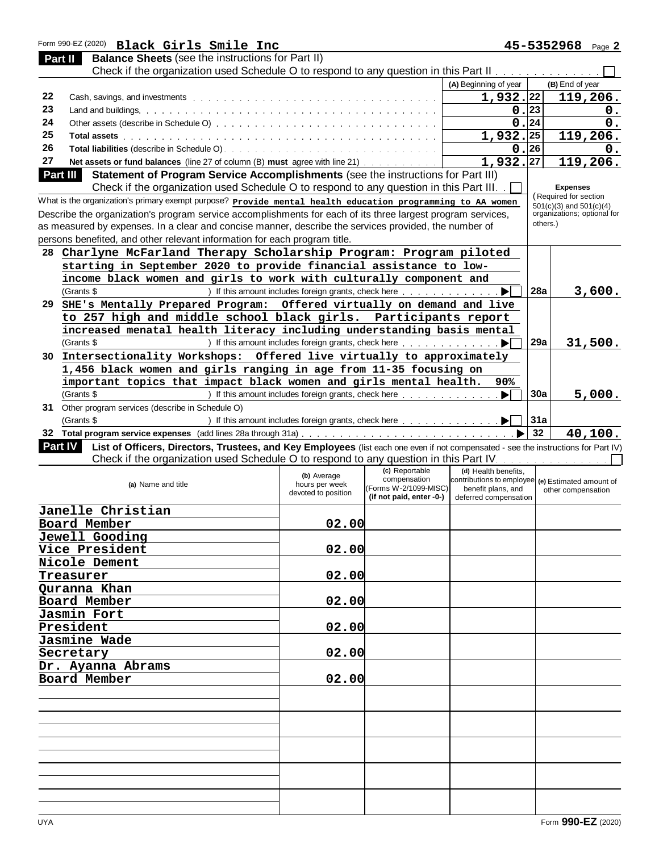| Form 990-EZ (2020) Black Girls Smile Inc                                                                                                       |                                       |                                                                                                                                                                                                                                |                                                   |          | 45-5352968 Page 2                                          |
|------------------------------------------------------------------------------------------------------------------------------------------------|---------------------------------------|--------------------------------------------------------------------------------------------------------------------------------------------------------------------------------------------------------------------------------|---------------------------------------------------|----------|------------------------------------------------------------|
| <b>Balance Sheets (see the instructions for Part II)</b><br>Part II                                                                            |                                       |                                                                                                                                                                                                                                |                                                   |          |                                                            |
| Check if the organization used Schedule O to respond to any question in this Part II measure the content of the                                |                                       |                                                                                                                                                                                                                                |                                                   |          |                                                            |
|                                                                                                                                                |                                       |                                                                                                                                                                                                                                | (A) Beginning of year                             |          | (B) End of year                                            |
| 22                                                                                                                                             |                                       |                                                                                                                                                                                                                                | $1,932.$ 22                                       |          | 119,206.                                                   |
| 23                                                                                                                                             |                                       |                                                                                                                                                                                                                                | 0.23                                              |          | $\mathbf 0$ .                                              |
| 24                                                                                                                                             |                                       |                                                                                                                                                                                                                                |                                                   | 0.24     | 0.                                                         |
| 25                                                                                                                                             |                                       |                                                                                                                                                                                                                                | $1,932.$ 25                                       |          | 119,206.                                                   |
| 26                                                                                                                                             |                                       |                                                                                                                                                                                                                                | 0.26                                              |          | 0.                                                         |
| 27<br>Net assets or fund balances (line 27 of column (B) must agree with line 21)                                                              |                                       |                                                                                                                                                                                                                                | 1,932,27                                          |          | 119,206.                                                   |
| Part III<br>Statement of Program Service Accomplishments (see the instructions for Part III)                                                   |                                       |                                                                                                                                                                                                                                |                                                   |          |                                                            |
| Check if the organization used Schedule O to respond to any question in this Part III.                                                         |                                       |                                                                                                                                                                                                                                |                                                   |          | <b>Expenses</b>                                            |
| What is the organization's primary exempt purpose? Provide mental health education programming to AA women                                     |                                       |                                                                                                                                                                                                                                |                                                   |          | Required for section                                       |
| Describe the organization's program service accomplishments for each of its three largest program services,                                    |                                       |                                                                                                                                                                                                                                |                                                   |          | $501(c)(3)$ and $501(c)(4)$<br>organizations; optional for |
| as measured by expenses. In a clear and concise manner, describe the services provided, the number of                                          |                                       |                                                                                                                                                                                                                                |                                                   | others.) |                                                            |
| persons benefited, and other relevant information for each program title.                                                                      |                                       |                                                                                                                                                                                                                                |                                                   |          |                                                            |
|                                                                                                                                                |                                       |                                                                                                                                                                                                                                |                                                   |          |                                                            |
| Charlyne McFarland Therapy Scholarship Program: Program piloted<br>28                                                                          |                                       |                                                                                                                                                                                                                                |                                                   |          |                                                            |
| starting in September 2020 to provide financial assistance to low-                                                                             |                                       |                                                                                                                                                                                                                                |                                                   |          |                                                            |
| income black women and girls to work with culturally component and                                                                             |                                       |                                                                                                                                                                                                                                |                                                   |          |                                                            |
| (Grants \$                                                                                                                                     |                                       | ) If this amount includes foreign grants, check here                                                                                                                                                                           |                                                   | 28a      | 3,600.                                                     |
| SHE's Mentally Prepared Program: Offered virtually on demand and live<br>29                                                                    |                                       |                                                                                                                                                                                                                                |                                                   |          |                                                            |
| to 257 high and middle school black girls. Participants report                                                                                 |                                       |                                                                                                                                                                                                                                |                                                   |          |                                                            |
| increased menatal health literacy including understanding basis mental                                                                         |                                       |                                                                                                                                                                                                                                |                                                   |          |                                                            |
| (Grants \$                                                                                                                                     |                                       | ) If this amount includes foreign grants, check here                                                                                                                                                                           | . ÞI                                              | 29a      | 31,500.                                                    |
| Intersectionality Workshops: Offered live virtually to approximately<br>30 -                                                                   |                                       |                                                                                                                                                                                                                                |                                                   |          |                                                            |
| 1,456 black women and girls ranging in age from 11-35 focusing on                                                                              |                                       |                                                                                                                                                                                                                                |                                                   |          |                                                            |
| important topics that impact black women and girls mental health.                                                                              |                                       |                                                                                                                                                                                                                                | 90%                                               |          |                                                            |
| (Grants \$                                                                                                                                     |                                       | ) If this amount includes foreign grants, check here rest and contact and the set of the set of the set of the set of the set of the set of the set of the set of the set of the set of the set of the set of the set of the s | . $\blacktriangleright$                           | 30a      | 5,000.                                                     |
| 31 Other program services (describe in Schedule O)                                                                                             |                                       |                                                                                                                                                                                                                                |                                                   |          |                                                            |
| (Grants \$                                                                                                                                     |                                       |                                                                                                                                                                                                                                |                                                   | 31a      |                                                            |
|                                                                                                                                                |                                       |                                                                                                                                                                                                                                |                                                   | 32       | 40,100.                                                    |
| Part IV<br>List of Officers, Directors, Trustees, and Key Employees (list each one even if not compensated - see the instructions for Part IV) |                                       |                                                                                                                                                                                                                                |                                                   |          |                                                            |
| Check if the organization used Schedule O to respond to any question in this Part IV. Almand Almand Almand Alm                                 |                                       |                                                                                                                                                                                                                                |                                                   |          |                                                            |
|                                                                                                                                                |                                       | (c) Reportable                                                                                                                                                                                                                 | (d) Health benefits.                              |          |                                                            |
|                                                                                                                                                | (b) Average                           | compensation                                                                                                                                                                                                                   | contributions to employee (e) Estimated amount of |          |                                                            |
| (a) Name and title                                                                                                                             | hours per week<br>devoted to position | (Forms W-2/1099-MISC)                                                                                                                                                                                                          | benefit plans, and                                |          | other compensation                                         |
|                                                                                                                                                |                                       | (if not paid, enter -0-)                                                                                                                                                                                                       | deferred compensation                             |          |                                                            |
| Janelle Christian                                                                                                                              |                                       |                                                                                                                                                                                                                                |                                                   |          |                                                            |
| Board Member                                                                                                                                   | 02.00                                 |                                                                                                                                                                                                                                |                                                   |          |                                                            |
| Jewell Gooding                                                                                                                                 |                                       |                                                                                                                                                                                                                                |                                                   |          |                                                            |
| Vice President                                                                                                                                 | 02.00                                 |                                                                                                                                                                                                                                |                                                   |          |                                                            |
| Nicole Dement                                                                                                                                  |                                       |                                                                                                                                                                                                                                |                                                   |          |                                                            |
| Treasurer                                                                                                                                      | 02.00                                 |                                                                                                                                                                                                                                |                                                   |          |                                                            |
| Quranna Khan                                                                                                                                   |                                       |                                                                                                                                                                                                                                |                                                   |          |                                                            |
| Board Member                                                                                                                                   | 02.00                                 |                                                                                                                                                                                                                                |                                                   |          |                                                            |
| Jasmin Fort                                                                                                                                    |                                       |                                                                                                                                                                                                                                |                                                   |          |                                                            |
| President                                                                                                                                      | 02.00                                 |                                                                                                                                                                                                                                |                                                   |          |                                                            |
| Jasmine Wade                                                                                                                                   |                                       |                                                                                                                                                                                                                                |                                                   |          |                                                            |
| Secretary                                                                                                                                      | 02.00                                 |                                                                                                                                                                                                                                |                                                   |          |                                                            |
|                                                                                                                                                |                                       |                                                                                                                                                                                                                                |                                                   |          |                                                            |
| Dr. Ayanna Abrams                                                                                                                              |                                       |                                                                                                                                                                                                                                |                                                   |          |                                                            |
| Board Member                                                                                                                                   | 02.00                                 |                                                                                                                                                                                                                                |                                                   |          |                                                            |
|                                                                                                                                                |                                       |                                                                                                                                                                                                                                |                                                   |          |                                                            |
|                                                                                                                                                |                                       |                                                                                                                                                                                                                                |                                                   |          |                                                            |
|                                                                                                                                                |                                       |                                                                                                                                                                                                                                |                                                   |          |                                                            |
|                                                                                                                                                |                                       |                                                                                                                                                                                                                                |                                                   |          |                                                            |
|                                                                                                                                                |                                       |                                                                                                                                                                                                                                |                                                   |          |                                                            |
|                                                                                                                                                |                                       |                                                                                                                                                                                                                                |                                                   |          |                                                            |
|                                                                                                                                                |                                       |                                                                                                                                                                                                                                |                                                   |          |                                                            |
|                                                                                                                                                |                                       |                                                                                                                                                                                                                                |                                                   |          |                                                            |
|                                                                                                                                                |                                       |                                                                                                                                                                                                                                |                                                   |          |                                                            |
|                                                                                                                                                |                                       |                                                                                                                                                                                                                                |                                                   |          |                                                            |
|                                                                                                                                                |                                       |                                                                                                                                                                                                                                |                                                   |          |                                                            |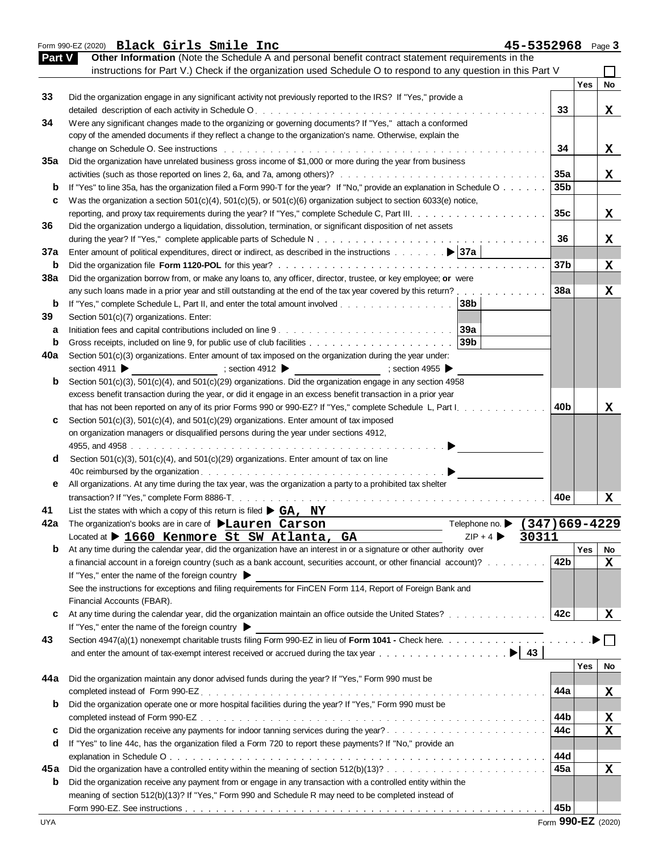|            | Form 990-EZ (2020) Black Girls Smile Inc<br>45-5352968 Page 3                                                                                                                                                                 |                 |     |                         |
|------------|-------------------------------------------------------------------------------------------------------------------------------------------------------------------------------------------------------------------------------|-----------------|-----|-------------------------|
|            | Other Information (Note the Schedule A and personal benefit contract statement requirements in the<br>Part V                                                                                                                  |                 |     |                         |
|            | instructions for Part V.) Check if the organization used Schedule O to respond to any question in this Part V                                                                                                                 |                 |     |                         |
|            |                                                                                                                                                                                                                               |                 | Yes | <b>No</b>               |
| 33         | Did the organization engage in any significant activity not previously reported to the IRS? If "Yes," provide a                                                                                                               |                 |     |                         |
|            |                                                                                                                                                                                                                               | 33              |     | X                       |
| 34         | Were any significant changes made to the organizing or governing documents? If "Yes," attach a conformed                                                                                                                      |                 |     |                         |
|            | copy of the amended documents if they reflect a change to the organization's name. Otherwise, explain the                                                                                                                     |                 |     |                         |
|            | change on Schedule O. See instructions enterprise and and an article of the control of the control of the control of the control of the control of the control of the control of the control of the control of the control of | 34              |     | X                       |
| 35a        | Did the organization have unrelated business gross income of \$1,000 or more during the year from business                                                                                                                    |                 |     |                         |
|            |                                                                                                                                                                                                                               | 35a             |     | X                       |
|            |                                                                                                                                                                                                                               | 35 <sub>b</sub> |     |                         |
| b          | If "Yes" to line 35a, has the organization filed a Form 990-T for the year? If "No," provide an explanation in Schedule O                                                                                                     |                 |     |                         |
| c          | Was the organization a section $501(c)(4)$ , $501(c)(5)$ , or $501(c)(6)$ organization subject to section $6033(e)$ notice,                                                                                                   |                 |     |                         |
|            |                                                                                                                                                                                                                               | 35 <sub>c</sub> |     | X                       |
| 36         | Did the organization undergo a liquidation, dissolution, termination, or significant disposition of net assets                                                                                                                |                 |     |                         |
|            |                                                                                                                                                                                                                               | 36              |     | x                       |
| 37a        |                                                                                                                                                                                                                               |                 |     |                         |
| b          |                                                                                                                                                                                                                               | 37b             |     | X                       |
| <b>38a</b> | Did the organization borrow from, or make any loans to, any officer, director, trustee, or key employee; or were                                                                                                              |                 |     |                         |
|            | any such loans made in a prior year and still outstanding at the end of the tax year covered by this return?                                                                                                                  | 38a             |     | X                       |
| b          | 38 <sub>b</sub><br>If "Yes," complete Schedule L, Part II, and enter the total amount involved                                                                                                                                |                 |     |                         |
| 39         | Section 501(c)(7) organizations. Enter:                                                                                                                                                                                       |                 |     |                         |
| а          | 39a                                                                                                                                                                                                                           |                 |     |                         |
| b          | 39b                                                                                                                                                                                                                           |                 |     |                         |
| 40a        | Section 501(c)(3) organizations. Enter amount of tax imposed on the organization during the year under:                                                                                                                       |                 |     |                         |
|            | section 4911                                                                                                                                                                                                                  |                 |     |                         |
|            | $\Rightarrow$ section 4955<br>; section 4912 $\blacktriangleright$                                                                                                                                                            |                 |     |                         |
| b          | Section 501(c)(3), 501(c)(4), and 501(c)(29) organizations. Did the organization engage in any section 4958                                                                                                                   |                 |     |                         |
|            | excess benefit transaction during the year, or did it engage in an excess benefit transaction in a prior year                                                                                                                 |                 |     |                         |
|            | that has not been reported on any of its prior Forms 990 or 990-EZ? If "Yes," complete Schedule L, Part I.                                                                                                                    | 40b             |     | x                       |
| c          | Section $501(c)(3)$ , $501(c)(4)$ , and $501(c)(29)$ organizations. Enter amount of tax imposed                                                                                                                               |                 |     |                         |
|            | on organization managers or disqualified persons during the year under sections 4912,                                                                                                                                         |                 |     |                         |
|            |                                                                                                                                                                                                                               |                 |     |                         |
| d          | Section 501(c)(3), 501(c)(4), and 501(c)(29) organizations. Enter amount of tax on line                                                                                                                                       |                 |     |                         |
|            |                                                                                                                                                                                                                               |                 |     |                         |
| е          | All organizations. At any time during the tax year, was the organization a party to a prohibited tax shelter                                                                                                                  |                 |     |                         |
|            | transaction? If "Yes," complete Form 8886-T.                                                                                                                                                                                  | 40e             |     | x                       |
| 41         | List the states with which a copy of this return is filed $\triangleright$ GA, NY                                                                                                                                             |                 |     |                         |
|            | Telephone no. • (347)669-4229<br>The organization's books are in care of <b>DLauren Carson</b>                                                                                                                                |                 |     |                         |
|            | $ZIP + 4$<br>Located at > 1660 Kenmore St SW Atlanta, GA<br>30311                                                                                                                                                             |                 |     |                         |
| b          | At any time during the calendar year, did the organization have an interest in or a signature or other authority over                                                                                                         |                 | Yes | No                      |
|            | a financial account in a foreign country (such as a bank account, securities account, or other financial account)?                                                                                                            | 42b             |     |                         |
|            |                                                                                                                                                                                                                               |                 |     | X                       |
|            | If "Yes," enter the name of the foreign country $\blacktriangleright$                                                                                                                                                         |                 |     |                         |
|            | See the instructions for exceptions and filing requirements for FinCEN Form 114, Report of Foreign Bank and                                                                                                                   |                 |     |                         |
|            | Financial Accounts (FBAR).                                                                                                                                                                                                    |                 |     |                         |
| c          | At any time during the calendar year, did the organization maintain an office outside the United States?                                                                                                                      | 42c             |     | $\mathbf x$             |
|            | If "Yes," enter the name of the foreign country                                                                                                                                                                               |                 |     |                         |
| 43         | Section 4947(a)(1) nonexempt charitable trusts filing Form 990-EZ in lieu of Form 1041 - Check here.                                                                                                                          |                 |     |                         |
|            |                                                                                                                                                                                                                               |                 |     |                         |
|            |                                                                                                                                                                                                                               |                 | Yes | <b>No</b>               |
| 44a        | Did the organization maintain any donor advised funds during the year? If "Yes," Form 990 must be                                                                                                                             |                 |     |                         |
|            |                                                                                                                                                                                                                               | 44a             |     | X                       |
| b          | Did the organization operate one or more hospital facilities during the year? If "Yes," Form 990 must be                                                                                                                      |                 |     |                         |
|            |                                                                                                                                                                                                                               | 44b             |     |                         |
|            |                                                                                                                                                                                                                               |                 |     | X                       |
| c          |                                                                                                                                                                                                                               | 44c             |     | $\overline{\mathbf{x}}$ |
| d          | If "Yes" to line 44c, has the organization filed a Form 720 to report these payments? If "No," provide an                                                                                                                     |                 |     |                         |
|            |                                                                                                                                                                                                                               | 44d             |     |                         |
| 45a        | Did the organization have a controlled entity within the meaning of section $512(b)(13)? \ldots \ldots \ldots \ldots \ldots \ldots \ldots \ldots$                                                                             | 45a             |     | $\mathbf x$             |
| b          | Did the organization receive any payment from or engage in any transaction with a controlled entity within the                                                                                                                |                 |     |                         |
|            | meaning of section 512(b)(13)? If "Yes," Form 990 and Schedule R may need to be completed instead of                                                                                                                          |                 |     |                         |
|            |                                                                                                                                                                                                                               |                 |     |                         |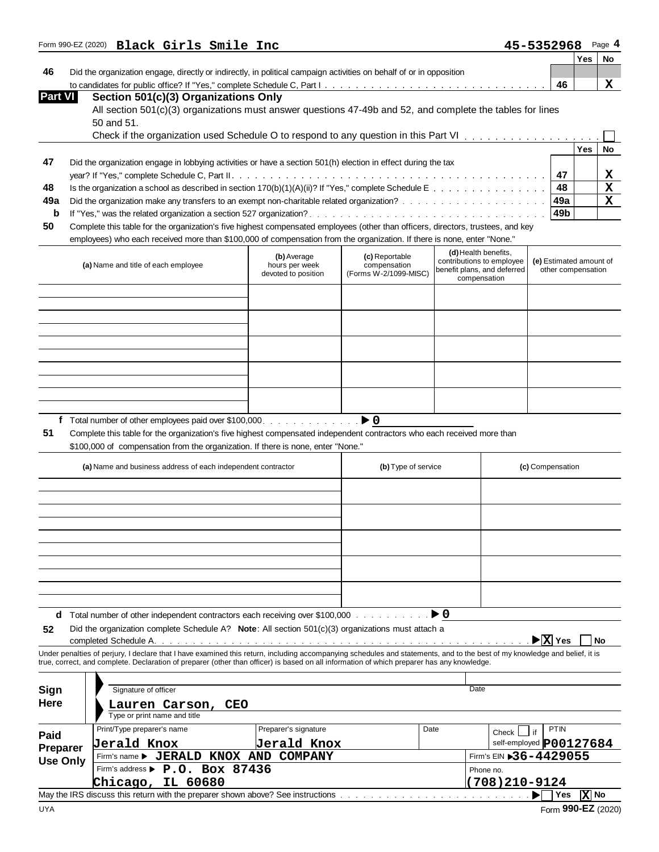|                                  |                                                                                                                                                                            |                                       |                                       |                                                   |                            |                             | Yes                | <b>No</b> |
|----------------------------------|----------------------------------------------------------------------------------------------------------------------------------------------------------------------------|---------------------------------------|---------------------------------------|---------------------------------------------------|----------------------------|-----------------------------|--------------------|-----------|
| 46                               | Did the organization engage, directly or indirectly, in political campaign activities on behalf of or in opposition                                                        |                                       |                                       |                                                   |                            |                             |                    |           |
|                                  |                                                                                                                                                                            |                                       |                                       |                                                   |                            | 46                          |                    | x         |
| Part VI                          | Section 501(c)(3) Organizations Only                                                                                                                                       |                                       |                                       |                                                   |                            |                             |                    |           |
|                                  | All section 501(c)(3) organizations must answer questions 47-49b and 52, and complete the tables for lines                                                                 |                                       |                                       |                                                   |                            |                             |                    |           |
|                                  | 50 and 51.                                                                                                                                                                 |                                       |                                       |                                                   |                            |                             |                    |           |
|                                  |                                                                                                                                                                            |                                       |                                       |                                                   |                            |                             |                    |           |
|                                  |                                                                                                                                                                            |                                       |                                       |                                                   |                            |                             | Yes                | <b>No</b> |
| 47                               | Did the organization engage in lobbying activities or have a section 501(h) election in effect during the tax                                                              |                                       |                                       |                                                   |                            |                             |                    |           |
|                                  |                                                                                                                                                                            |                                       |                                       |                                                   |                            | 47                          |                    | x         |
| 48                               | Is the organization a school as described in section 170(b)(1)(A)(ii)? If "Yes," complete Schedule E                                                                       |                                       |                                       |                                                   |                            | 48                          |                    | Χ         |
| 49a                              |                                                                                                                                                                            |                                       |                                       |                                                   |                            | 49a                         |                    | X         |
| b                                |                                                                                                                                                                            |                                       |                                       |                                                   |                            | 49 <sub>b</sub>             |                    |           |
| 50                               | Complete this table for the organization's five highest compensated employees (other than officers, directors, trustees, and key                                           |                                       |                                       |                                                   |                            |                             |                    |           |
|                                  | employees) who each received more than \$100,000 of compensation from the organization. If there is none, enter "None."                                                    |                                       |                                       |                                                   |                            |                             |                    |           |
|                                  |                                                                                                                                                                            | (b) Average                           | (c) Reportable                        | (d) Health benefits,<br>contributions to employee |                            | (e) Estimated amount of     |                    |           |
|                                  | (a) Name and title of each employee                                                                                                                                        | hours per week<br>devoted to position | compensation<br>(Forms W-2/1099-MISC) | benefit plans, and deferred                       |                            |                             | other compensation |           |
|                                  |                                                                                                                                                                            |                                       |                                       | compensation                                      |                            |                             |                    |           |
|                                  |                                                                                                                                                                            |                                       |                                       |                                                   |                            |                             |                    |           |
|                                  |                                                                                                                                                                            |                                       |                                       |                                                   |                            |                             |                    |           |
|                                  |                                                                                                                                                                            |                                       |                                       |                                                   |                            |                             |                    |           |
|                                  |                                                                                                                                                                            |                                       |                                       |                                                   |                            |                             |                    |           |
|                                  |                                                                                                                                                                            |                                       |                                       |                                                   |                            |                             |                    |           |
|                                  |                                                                                                                                                                            |                                       |                                       |                                                   |                            |                             |                    |           |
|                                  |                                                                                                                                                                            |                                       |                                       |                                                   |                            |                             |                    |           |
|                                  |                                                                                                                                                                            |                                       |                                       |                                                   |                            |                             |                    |           |
|                                  |                                                                                                                                                                            |                                       |                                       |                                                   |                            |                             |                    |           |
|                                  | Complete this table for the organization's five highest compensated independent contractors who each received more than                                                    |                                       |                                       |                                                   |                            |                             |                    |           |
|                                  | \$100,000 of compensation from the organization. If there is none, enter "None."<br>(a) Name and business address of each independent contractor                           |                                       | (b) Type of service                   |                                                   |                            | (c) Compensation            |                    |           |
|                                  |                                                                                                                                                                            |                                       |                                       |                                                   |                            |                             |                    |           |
|                                  |                                                                                                                                                                            |                                       |                                       |                                                   |                            |                             |                    |           |
|                                  |                                                                                                                                                                            |                                       |                                       |                                                   |                            |                             |                    |           |
|                                  |                                                                                                                                                                            |                                       |                                       |                                                   |                            |                             |                    |           |
|                                  |                                                                                                                                                                            |                                       |                                       |                                                   |                            |                             |                    |           |
|                                  |                                                                                                                                                                            |                                       |                                       |                                                   |                            |                             |                    |           |
|                                  | Did the organization complete Schedule A? Note: All section 501(c)(3) organizations must attach a                                                                          |                                       |                                       |                                                   |                            |                             |                    |           |
|                                  |                                                                                                                                                                            |                                       |                                       |                                                   |                            | $\blacktriangleright$ X Yes |                    | No        |
|                                  | Under penalties of perjury, I declare that I have examined this return, including accompanying schedules and statements, and to the best of my knowledge and belief, it is |                                       |                                       |                                                   |                            |                             |                    |           |
|                                  | true, correct, and complete. Declaration of preparer (other than officer) is based on all information of which preparer has any knowledge.                                 |                                       |                                       |                                                   |                            |                             |                    |           |
|                                  |                                                                                                                                                                            |                                       |                                       |                                                   |                            |                             |                    |           |
|                                  | Signature of officer                                                                                                                                                       |                                       |                                       | Date                                              |                            |                             |                    |           |
|                                  | Lauren Carson, CEO<br>Type or print name and title                                                                                                                         |                                       |                                       |                                                   |                            |                             |                    |           |
|                                  |                                                                                                                                                                            | Preparer's signature                  | Date                                  |                                                   |                            | <b>PTIN</b>                 |                    |           |
| 51<br>52<br>Sign<br>Here<br>Paid | Print/Type preparer's name                                                                                                                                                 |                                       |                                       |                                                   | Check                      | if                          |                    |           |
| Preparer                         | Jerald Knox                                                                                                                                                                | Jerald Knox                           |                                       |                                                   | self-employed P00127684    |                             |                    |           |
|                                  | Firm's name > JERALD KNOX AND COMPANY                                                                                                                                      |                                       |                                       |                                                   | Firm's EIN $$36 - 4429055$ |                             |                    |           |
|                                  | Firm's address P P.O. BOX 87436                                                                                                                                            |                                       |                                       | Phone no.                                         |                            |                             |                    |           |
| <b>Use Only</b>                  | Chicago, IL 60680                                                                                                                                                          |                                       |                                       |                                                   | $(708)$ 210-9124           | Yes                         | X No               |           |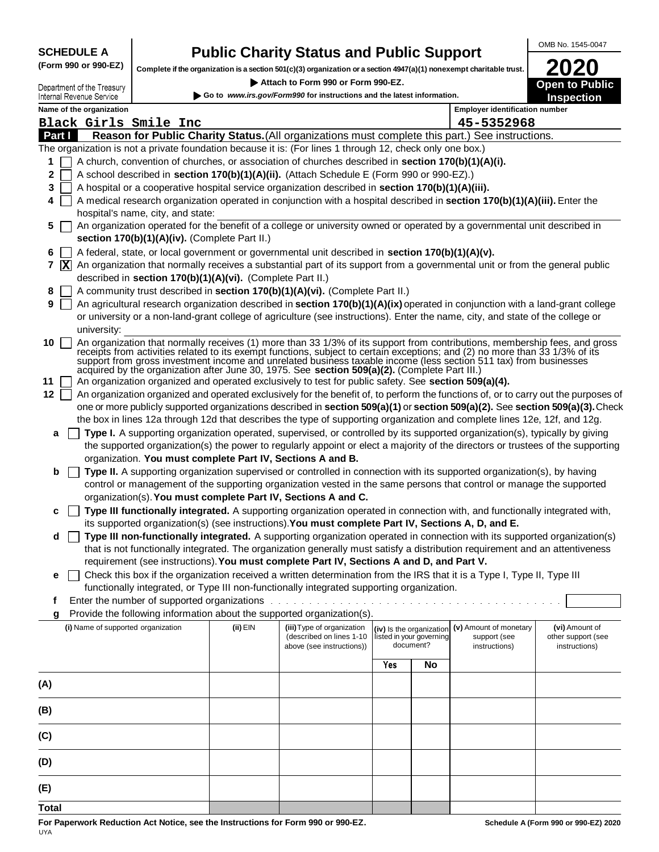**SCHEDULE A (Form 990 or 990-EZ)**

# **Public Charity Status and Public Support**

**Complete if the organization is a section 501(c)(3) organization or a section 4947(a)(1) nonexempt charitable trust.**

 **Attach to Form 990 or Form 990-EZ.** 

**Open to Public 2020**

OMB No. 1545-0047

|                 | Department of the Treasury                                                                                                                                                                      |                                               |          | ALLOCITIO LOLIII AAN OL LOLIII AAN-ET                                                                                                                                                                                                                                                                                                                                                                                                                |     |                                       |                                                 | <b>Open to Public</b>               |
|-----------------|-------------------------------------------------------------------------------------------------------------------------------------------------------------------------------------------------|-----------------------------------------------|----------|------------------------------------------------------------------------------------------------------------------------------------------------------------------------------------------------------------------------------------------------------------------------------------------------------------------------------------------------------------------------------------------------------------------------------------------------------|-----|---------------------------------------|-------------------------------------------------|-------------------------------------|
|                 | Internal Revenue Service                                                                                                                                                                        |                                               |          | Go to www.irs.gov/Form990 for instructions and the latest information.                                                                                                                                                                                                                                                                                                                                                                               |     |                                       |                                                 | <b>Inspection</b>                   |
|                 | Name of the organization                                                                                                                                                                        |                                               |          |                                                                                                                                                                                                                                                                                                                                                                                                                                                      |     |                                       | <b>Employer identification number</b>           |                                     |
|                 |                                                                                                                                                                                                 | Black Girls Smile Inc                         |          |                                                                                                                                                                                                                                                                                                                                                                                                                                                      |     |                                       | 45-5352968                                      |                                     |
| Part I          |                                                                                                                                                                                                 |                                               |          | Reason for Public Charity Status. (All organizations must complete this part.) See instructions.                                                                                                                                                                                                                                                                                                                                                     |     |                                       |                                                 |                                     |
|                 |                                                                                                                                                                                                 |                                               |          | The organization is not a private foundation because it is: (For lines 1 through 12, check only one box.)                                                                                                                                                                                                                                                                                                                                            |     |                                       |                                                 |                                     |
| 1               | A church, convention of churches, or association of churches described in section 170(b)(1)(A)(i).<br>A school described in section 170(b)(1)(A)(ii). (Attach Schedule E (Form 990 or 990-EZ).) |                                               |          |                                                                                                                                                                                                                                                                                                                                                                                                                                                      |     |                                       |                                                 |                                     |
| $\mathbf{2}$    |                                                                                                                                                                                                 |                                               |          |                                                                                                                                                                                                                                                                                                                                                                                                                                                      |     |                                       |                                                 |                                     |
| 3               |                                                                                                                                                                                                 |                                               |          | A hospital or a cooperative hospital service organization described in section 170(b)(1)(A)(iii).                                                                                                                                                                                                                                                                                                                                                    |     |                                       |                                                 |                                     |
| 4               |                                                                                                                                                                                                 |                                               |          | A medical research organization operated in conjunction with a hospital described in section 170(b)(1)(A)(iii). Enter the                                                                                                                                                                                                                                                                                                                            |     |                                       |                                                 |                                     |
|                 |                                                                                                                                                                                                 | hospital's name, city, and state:             |          |                                                                                                                                                                                                                                                                                                                                                                                                                                                      |     |                                       |                                                 |                                     |
| 5               |                                                                                                                                                                                                 | section 170(b)(1)(A)(iv). (Complete Part II.) |          | An organization operated for the benefit of a college or university owned or operated by a governmental unit described in                                                                                                                                                                                                                                                                                                                            |     |                                       |                                                 |                                     |
| 6               |                                                                                                                                                                                                 |                                               |          | A federal, state, or local government or governmental unit described in section 170(b)(1)(A)(v).                                                                                                                                                                                                                                                                                                                                                     |     |                                       |                                                 |                                     |
|                 | 7 $\bar{X}$ An organization that normally receives a substantial part of its support from a governmental unit or from the general public                                                        |                                               |          |                                                                                                                                                                                                                                                                                                                                                                                                                                                      |     |                                       |                                                 |                                     |
|                 | described in section 170(b)(1)(A)(vi). (Complete Part II.)                                                                                                                                      |                                               |          |                                                                                                                                                                                                                                                                                                                                                                                                                                                      |     |                                       |                                                 |                                     |
| 8               | A community trust described in section 170(b)(1)(A)(vi). (Complete Part II.)                                                                                                                    |                                               |          |                                                                                                                                                                                                                                                                                                                                                                                                                                                      |     |                                       |                                                 |                                     |
| 9               |                                                                                                                                                                                                 |                                               |          | An agricultural research organization described in section 170(b)(1)(A)(ix) operated in conjunction with a land-grant college                                                                                                                                                                                                                                                                                                                        |     |                                       |                                                 |                                     |
|                 |                                                                                                                                                                                                 |                                               |          | or university or a non-land-grant college of agriculture (see instructions). Enter the name, city, and state of the college or                                                                                                                                                                                                                                                                                                                       |     |                                       |                                                 |                                     |
|                 | university:                                                                                                                                                                                     |                                               |          |                                                                                                                                                                                                                                                                                                                                                                                                                                                      |     |                                       |                                                 |                                     |
| 10 <sup>1</sup> |                                                                                                                                                                                                 |                                               |          | An organization that normally receives (1) more than 33 1/3% of its support from contributions, membership fees, and gross receipts from activities related to its exempt functions, subject to certain exceptions; and (2) no<br>support from gross investment income and unrelated business taxable income (less section 511 tax) from businesses<br>acquired by the organization after June 30, 1975. See section 509(a)(2). (Complete Part III.) |     |                                       |                                                 |                                     |
| 11              |                                                                                                                                                                                                 |                                               |          | An organization organized and operated exclusively to test for public safety. See section 509(a)(4).                                                                                                                                                                                                                                                                                                                                                 |     |                                       |                                                 |                                     |
| 12              |                                                                                                                                                                                                 |                                               |          | An organization organized and operated exclusively for the benefit of, to perform the functions of, or to carry out the purposes of                                                                                                                                                                                                                                                                                                                  |     |                                       |                                                 |                                     |
|                 |                                                                                                                                                                                                 |                                               |          | one or more publicly supported organizations described in section 509(a)(1) or section 509(a)(2). See section 509(a)(3). Check                                                                                                                                                                                                                                                                                                                       |     |                                       |                                                 |                                     |
|                 |                                                                                                                                                                                                 |                                               |          | the box in lines 12a through 12d that describes the type of supporting organization and complete lines 12e, 12f, and 12g.                                                                                                                                                                                                                                                                                                                            |     |                                       |                                                 |                                     |
| a               |                                                                                                                                                                                                 |                                               |          | Type I. A supporting organization operated, supervised, or controlled by its supported organization(s), typically by giving                                                                                                                                                                                                                                                                                                                          |     |                                       |                                                 |                                     |
|                 |                                                                                                                                                                                                 |                                               |          | the supported organization(s) the power to regularly appoint or elect a majority of the directors or trustees of the supporting                                                                                                                                                                                                                                                                                                                      |     |                                       |                                                 |                                     |
|                 |                                                                                                                                                                                                 |                                               |          | organization. You must complete Part IV, Sections A and B.                                                                                                                                                                                                                                                                                                                                                                                           |     |                                       |                                                 |                                     |
| b               |                                                                                                                                                                                                 |                                               |          | Type II. A supporting organization supervised or controlled in connection with its supported organization(s), by having                                                                                                                                                                                                                                                                                                                              |     |                                       |                                                 |                                     |
|                 |                                                                                                                                                                                                 |                                               |          | control or management of the supporting organization vested in the same persons that control or manage the supported                                                                                                                                                                                                                                                                                                                                 |     |                                       |                                                 |                                     |
|                 |                                                                                                                                                                                                 |                                               |          | organization(s). You must complete Part IV, Sections A and C.                                                                                                                                                                                                                                                                                                                                                                                        |     |                                       |                                                 |                                     |
| с               |                                                                                                                                                                                                 |                                               |          | Type III functionally integrated. A supporting organization operated in connection with, and functionally integrated with,                                                                                                                                                                                                                                                                                                                           |     |                                       |                                                 |                                     |
|                 |                                                                                                                                                                                                 |                                               |          | its supported organization(s) (see instructions). You must complete Part IV, Sections A, D, and E.                                                                                                                                                                                                                                                                                                                                                   |     |                                       |                                                 |                                     |
| d               |                                                                                                                                                                                                 |                                               |          | Type III non-functionally integrated. A supporting organization operated in connection with its supported organization(s)<br>that is not functionally integrated. The organization generally must satisfy a distribution requirement and an attentiveness                                                                                                                                                                                            |     |                                       |                                                 |                                     |
|                 |                                                                                                                                                                                                 |                                               |          | requirement (see instructions). You must complete Part IV, Sections A and D, and Part V.                                                                                                                                                                                                                                                                                                                                                             |     |                                       |                                                 |                                     |
|                 |                                                                                                                                                                                                 |                                               |          | Check this box if the organization received a written determination from the IRS that it is a Type I, Type II, Type III                                                                                                                                                                                                                                                                                                                              |     |                                       |                                                 |                                     |
| е               |                                                                                                                                                                                                 |                                               |          | functionally integrated, or Type III non-functionally integrated supporting organization.                                                                                                                                                                                                                                                                                                                                                            |     |                                       |                                                 |                                     |
| Ť               |                                                                                                                                                                                                 |                                               |          | Enter the number of supported organizations with a substitution of the number of supported organizations with a substitution of the number                                                                                                                                                                                                                                                                                                           |     |                                       |                                                 |                                     |
| g               |                                                                                                                                                                                                 |                                               |          | Provide the following information about the supported organization(s).                                                                                                                                                                                                                                                                                                                                                                               |     |                                       |                                                 |                                     |
|                 | (i) Name of supported organization                                                                                                                                                              |                                               | (ii) EIN | (iii) Type of organization                                                                                                                                                                                                                                                                                                                                                                                                                           |     |                                       | (iv) Is the organization (v) Amount of monetary | (vi) Amount of                      |
|                 |                                                                                                                                                                                                 |                                               |          | (described on lines 1-10<br>above (see instructions))                                                                                                                                                                                                                                                                                                                                                                                                |     | listed in your governing<br>document? | support (see<br>instructions)                   | other support (see<br>instructions) |
|                 |                                                                                                                                                                                                 |                                               |          |                                                                                                                                                                                                                                                                                                                                                                                                                                                      | Yes | No                                    |                                                 |                                     |
|                 |                                                                                                                                                                                                 |                                               |          |                                                                                                                                                                                                                                                                                                                                                                                                                                                      |     |                                       |                                                 |                                     |
| (A)             |                                                                                                                                                                                                 |                                               |          |                                                                                                                                                                                                                                                                                                                                                                                                                                                      |     |                                       |                                                 |                                     |
|                 |                                                                                                                                                                                                 |                                               |          |                                                                                                                                                                                                                                                                                                                                                                                                                                                      |     |                                       |                                                 |                                     |
| (B)             |                                                                                                                                                                                                 |                                               |          |                                                                                                                                                                                                                                                                                                                                                                                                                                                      |     |                                       |                                                 |                                     |
|                 |                                                                                                                                                                                                 |                                               |          |                                                                                                                                                                                                                                                                                                                                                                                                                                                      |     |                                       |                                                 |                                     |
| (C)             |                                                                                                                                                                                                 |                                               |          |                                                                                                                                                                                                                                                                                                                                                                                                                                                      |     |                                       |                                                 |                                     |
|                 |                                                                                                                                                                                                 |                                               |          |                                                                                                                                                                                                                                                                                                                                                                                                                                                      |     |                                       |                                                 |                                     |
| (D)             |                                                                                                                                                                                                 |                                               |          |                                                                                                                                                                                                                                                                                                                                                                                                                                                      |     |                                       |                                                 |                                     |
|                 |                                                                                                                                                                                                 |                                               |          |                                                                                                                                                                                                                                                                                                                                                                                                                                                      |     |                                       |                                                 |                                     |
| (E)             |                                                                                                                                                                                                 |                                               |          |                                                                                                                                                                                                                                                                                                                                                                                                                                                      |     |                                       |                                                 |                                     |
| <b>Total</b>    |                                                                                                                                                                                                 |                                               |          |                                                                                                                                                                                                                                                                                                                                                                                                                                                      |     |                                       |                                                 |                                     |

**For Paperwork Reduction Act Notice, see the Instructions for Form 990 or 990-EZ.** UYA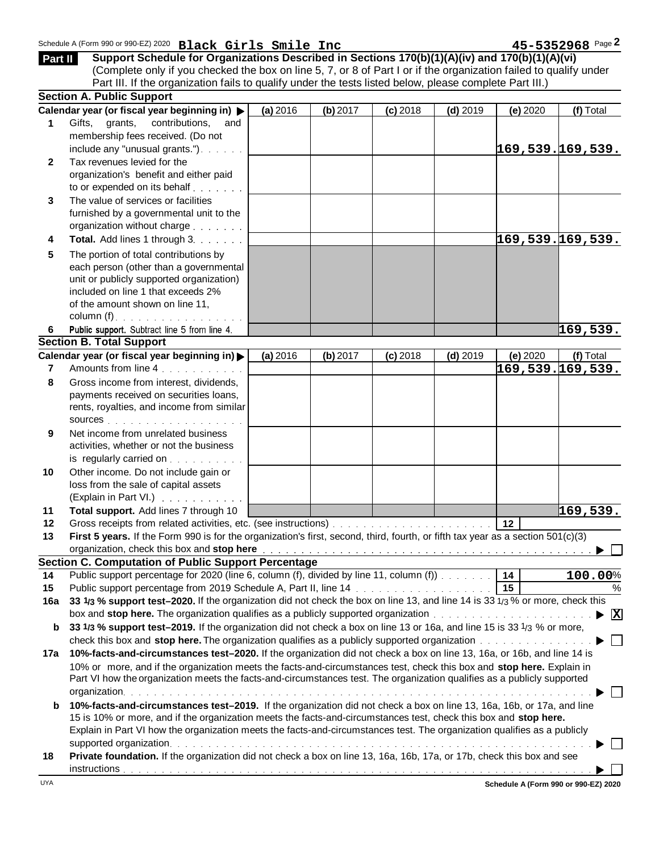| Part II      | Schedule A (Form 990 or 990-EZ) 2020 Black Girls Smile Inc<br>Support Schedule for Organizations Described in Sections 170(b)(1)(A)(iv) and 170(b)(1)(A)(vi)<br>(Complete only if you checked the box on line 5, 7, or 8 of Part I or if the organization failed to qualify under            |          |          |            |            |                 | 45-5352968 Page 2        |
|--------------|----------------------------------------------------------------------------------------------------------------------------------------------------------------------------------------------------------------------------------------------------------------------------------------------|----------|----------|------------|------------|-----------------|--------------------------|
|              | Part III. If the organization fails to qualify under the tests listed below, please complete Part III.)                                                                                                                                                                                      |          |          |            |            |                 |                          |
|              | <b>Section A. Public Support</b>                                                                                                                                                                                                                                                             |          |          |            |            |                 |                          |
|              | Calendar year (or fiscal year beginning in) >                                                                                                                                                                                                                                                | (a) 2016 | (b) 2017 | $(c)$ 2018 | $(d)$ 2019 | (e) 2020        | (f) Total                |
| 1            | Gifts, grants,<br>contributions,<br>and                                                                                                                                                                                                                                                      |          |          |            |            |                 |                          |
|              | membership fees received. (Do not                                                                                                                                                                                                                                                            |          |          |            |            |                 |                          |
|              | include any "unusual grants.").                                                                                                                                                                                                                                                              |          |          |            |            |                 | 169,539.169,539.         |
| $\mathbf{2}$ | Tax revenues levied for the                                                                                                                                                                                                                                                                  |          |          |            |            |                 |                          |
|              | organization's benefit and either paid                                                                                                                                                                                                                                                       |          |          |            |            |                 |                          |
|              | to or expended on its behalf                                                                                                                                                                                                                                                                 |          |          |            |            |                 |                          |
| 3            | The value of services or facilities                                                                                                                                                                                                                                                          |          |          |            |            |                 |                          |
|              | furnished by a governmental unit to the                                                                                                                                                                                                                                                      |          |          |            |            |                 |                          |
|              | organization without charge                                                                                                                                                                                                                                                                  |          |          |            |            |                 |                          |
| 4            | Total. Add lines 1 through 3.                                                                                                                                                                                                                                                                |          |          |            |            |                 | 169,539.169,539.         |
| 5            | The portion of total contributions by                                                                                                                                                                                                                                                        |          |          |            |            |                 |                          |
|              | each person (other than a governmental                                                                                                                                                                                                                                                       |          |          |            |            |                 |                          |
|              | unit or publicly supported organization)                                                                                                                                                                                                                                                     |          |          |            |            |                 |                          |
|              | included on line 1 that exceeds 2%                                                                                                                                                                                                                                                           |          |          |            |            |                 |                          |
|              | of the amount shown on line 11,                                                                                                                                                                                                                                                              |          |          |            |            |                 |                          |
|              | column (f). $\ldots$                                                                                                                                                                                                                                                                         |          |          |            |            |                 |                          |
| 6.           | Public support. Subtract line 5 from line 4.                                                                                                                                                                                                                                                 |          |          |            |            |                 | 169,539.                 |
|              | <b>Section B. Total Support</b>                                                                                                                                                                                                                                                              |          |          |            |            |                 |                          |
|              | Calendar year (or fiscal year beginning in)                                                                                                                                                                                                                                                  | (a) 2016 | (b) 2017 | $(c)$ 2018 | $(d)$ 2019 | (e) 2020        | (f) Total                |
| 7            | Amounts from line 4.                                                                                                                                                                                                                                                                         |          |          |            |            |                 | 169,539.169,539.         |
| 8            | Gross income from interest, dividends,                                                                                                                                                                                                                                                       |          |          |            |            |                 |                          |
|              | payments received on securities loans,                                                                                                                                                                                                                                                       |          |          |            |            |                 |                          |
|              | rents, royalties, and income from similar                                                                                                                                                                                                                                                    |          |          |            |            |                 |                          |
|              | SOUICES                                                                                                                                                                                                                                                                                      |          |          |            |            |                 |                          |
| 9            | Net income from unrelated business                                                                                                                                                                                                                                                           |          |          |            |            |                 |                          |
|              | activities, whether or not the business                                                                                                                                                                                                                                                      |          |          |            |            |                 |                          |
|              | is regularly carried on                                                                                                                                                                                                                                                                      |          |          |            |            |                 |                          |
| 10           | Other income. Do not include gain or                                                                                                                                                                                                                                                         |          |          |            |            |                 |                          |
|              | loss from the sale of capital assets                                                                                                                                                                                                                                                         |          |          |            |            |                 |                          |
|              | (Explain in Part VI.) $\ldots$ $\ldots$ $\ldots$                                                                                                                                                                                                                                             |          |          |            |            |                 |                          |
| 11           | Total support. Add lines 7 through 10                                                                                                                                                                                                                                                        |          |          |            |            |                 | 169,539.                 |
| 12           |                                                                                                                                                                                                                                                                                              |          |          |            |            | 12              |                          |
| 13           | First 5 years. If the Form 990 is for the organization's first, second, third, fourth, or fifth tax year as a section 501(c)(3)                                                                                                                                                              |          |          |            |            |                 |                          |
|              | organization, check this box and stop here with a state of the state of the state of the state of the state of the state of the state of the state of the state of the state of the state of the state of the state of the sta<br><b>Section C. Computation of Public Support Percentage</b> |          |          |            |            |                 |                          |
| 14           | Public support percentage for 2020 (line 6, column (f), divided by line 11, column (f)                                                                                                                                                                                                       |          |          |            |            | 14              |                          |
| 15           | Public support percentage from 2019 Schedule A, Part II, line 14 [1] [1] The Laterate Schedule A, Part II, line 14 [1] [1] $\frac{1}{2}$                                                                                                                                                     |          |          |            |            | $\overline{15}$ | 100.00%<br>$\frac{0}{0}$ |
| 16a          | 33 1/3 % support test-2020. If the organization did not check the box on line 13, and line 14 is 33 $\frac{1}{3}$ % or more, check this                                                                                                                                                      |          |          |            |            |                 |                          |
|              |                                                                                                                                                                                                                                                                                              |          |          |            |            |                 | $ {\bf X} $              |
| b            | 33 1/3 % support test-2019. If the organization did not check a box on line 13 or 16a, and line 15 is 33 1/3 % or more,                                                                                                                                                                      |          |          |            |            |                 |                          |
|              | check this box and stop here. The organization qualifies as a publicly supported organization                                                                                                                                                                                                |          |          |            |            |                 |                          |
|              | 10%-facts-and-circumstances test-2020. If the organization did not check a box on line 13, 16a, or 16b, and line 14 is                                                                                                                                                                       |          |          |            |            |                 |                          |
| 17a          | 10% or more, and if the organization meets the facts-and-circumstances test, check this box and stop here. Explain in                                                                                                                                                                        |          |          |            |            |                 |                          |
|              | Part VI how the organization meets the facts-and-circumstances test. The organization qualifies as a publicly supported                                                                                                                                                                      |          |          |            |            |                 |                          |
|              |                                                                                                                                                                                                                                                                                              |          |          |            |            |                 |                          |
|              |                                                                                                                                                                                                                                                                                              |          |          |            |            |                 |                          |
| b            | 10%-facts-and-circumstances test-2019. If the organization did not check a box on line 13, 16a, 16b, or 17a, and line<br>15 is 10% or more, and if the organization meets the facts-and-circumstances test, check this box and stop here.                                                    |          |          |            |            |                 |                          |
|              | Explain in Part VI how the organization meets the facts-and-circumstances test. The organization qualifies as a publicly                                                                                                                                                                     |          |          |            |            |                 |                          |
|              |                                                                                                                                                                                                                                                                                              |          |          |            |            |                 |                          |
|              | Private foundation. If the organization did not check a box on line 13, 16a, 16b, 17a, or 17b, check this box and see                                                                                                                                                                        |          |          |            |            |                 |                          |
| 18           |                                                                                                                                                                                                                                                                                              |          |          |            |            |                 |                          |
|              |                                                                                                                                                                                                                                                                                              |          |          |            |            |                 |                          |

**Schedule A (Form 990 or 990-EZ) 2020**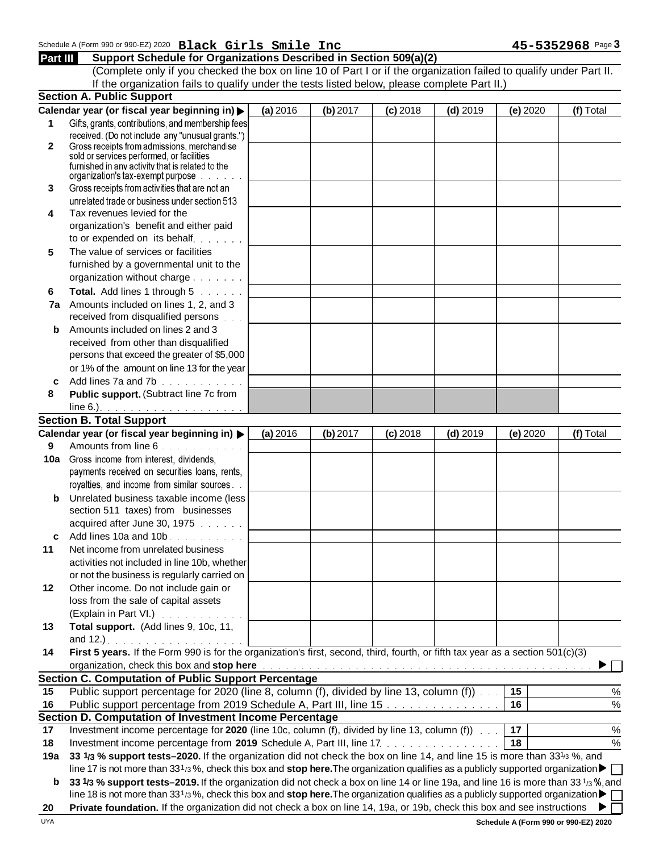# Schedule A (Form 990 or 990-EZ) 2020 **Black Girls Smile Inc**  $\bullet$  **11 and 12 and 15-5352968** Page 3 **Part III Support Schedule for Organizations Described in Section 509(a)(2) Black Girls Smile Inc 45-5352968**

(Complete only if you checked the box on line 10 of Part I or if the organization failed to qualify under Part II. If the organization fails to qualify under the tests listed below, please complete Part II.)

| Calendar year (or fiscal year beginning in) ><br>(a) 2016<br>(b) 2017<br>$(c)$ 2018<br>$(d)$ 2019<br>Gifts, grants, contributions, and membership fees<br>1<br>received. (Do not include any "unusual grants.")<br>Gross receipts from admissions, merchandise<br>2<br>sold or services performed, or facilities<br>furnished in any activity that is related to the<br>organization's tax-exempt purpose.<br>Gross receipts from activities that are not an<br>3<br>unrelated trade or business under section 513 | (e) 2020<br>(f) Total |
|--------------------------------------------------------------------------------------------------------------------------------------------------------------------------------------------------------------------------------------------------------------------------------------------------------------------------------------------------------------------------------------------------------------------------------------------------------------------------------------------------------------------|-----------------------|
|                                                                                                                                                                                                                                                                                                                                                                                                                                                                                                                    |                       |
|                                                                                                                                                                                                                                                                                                                                                                                                                                                                                                                    |                       |
|                                                                                                                                                                                                                                                                                                                                                                                                                                                                                                                    |                       |
|                                                                                                                                                                                                                                                                                                                                                                                                                                                                                                                    |                       |
|                                                                                                                                                                                                                                                                                                                                                                                                                                                                                                                    |                       |
|                                                                                                                                                                                                                                                                                                                                                                                                                                                                                                                    |                       |
|                                                                                                                                                                                                                                                                                                                                                                                                                                                                                                                    |                       |
|                                                                                                                                                                                                                                                                                                                                                                                                                                                                                                                    |                       |
| Tax revenues levied for the<br>4                                                                                                                                                                                                                                                                                                                                                                                                                                                                                   |                       |
| organization's benefit and either paid                                                                                                                                                                                                                                                                                                                                                                                                                                                                             |                       |
| to or expended on its behalf.                                                                                                                                                                                                                                                                                                                                                                                                                                                                                      |                       |
| The value of services or facilities                                                                                                                                                                                                                                                                                                                                                                                                                                                                                |                       |
| 5<br>furnished by a governmental unit to the                                                                                                                                                                                                                                                                                                                                                                                                                                                                       |                       |
|                                                                                                                                                                                                                                                                                                                                                                                                                                                                                                                    |                       |
| organization without charge                                                                                                                                                                                                                                                                                                                                                                                                                                                                                        |                       |
| Total. Add lines 1 through 5<br>6                                                                                                                                                                                                                                                                                                                                                                                                                                                                                  |                       |
| 7a Amounts included on lines 1, 2, and 3                                                                                                                                                                                                                                                                                                                                                                                                                                                                           |                       |
| received from disqualified persons                                                                                                                                                                                                                                                                                                                                                                                                                                                                                 |                       |
| Amounts included on lines 2 and 3<br>b                                                                                                                                                                                                                                                                                                                                                                                                                                                                             |                       |
| received from other than disqualified                                                                                                                                                                                                                                                                                                                                                                                                                                                                              |                       |
| persons that exceed the greater of \$5,000                                                                                                                                                                                                                                                                                                                                                                                                                                                                         |                       |
| or 1% of the amount on line 13 for the year                                                                                                                                                                                                                                                                                                                                                                                                                                                                        |                       |
| Add lines 7a and 7b<br>c                                                                                                                                                                                                                                                                                                                                                                                                                                                                                           |                       |
| Public support. (Subtract line 7c from<br>8                                                                                                                                                                                                                                                                                                                                                                                                                                                                        |                       |
|                                                                                                                                                                                                                                                                                                                                                                                                                                                                                                                    |                       |
| <b>Section B. Total Support</b>                                                                                                                                                                                                                                                                                                                                                                                                                                                                                    |                       |
| Calendar year (or fiscal year beginning in) ▶<br>(a) 2016<br>(b) 2017<br>$(c)$ 2018<br>$(d)$ 2019                                                                                                                                                                                                                                                                                                                                                                                                                  | (e) 2020<br>(f) Total |
| Amounts from line 6<br>9                                                                                                                                                                                                                                                                                                                                                                                                                                                                                           |                       |
| Gross income from interest, dividends,<br>10a                                                                                                                                                                                                                                                                                                                                                                                                                                                                      |                       |
| payments received on securities loans, rents,                                                                                                                                                                                                                                                                                                                                                                                                                                                                      |                       |
| royalties, and income from similar sources                                                                                                                                                                                                                                                                                                                                                                                                                                                                         |                       |
| Unrelated business taxable income (less<br>b                                                                                                                                                                                                                                                                                                                                                                                                                                                                       |                       |
| section 511 taxes) from businesses                                                                                                                                                                                                                                                                                                                                                                                                                                                                                 |                       |
| acquired after June 30, 1975                                                                                                                                                                                                                                                                                                                                                                                                                                                                                       |                       |
| Add lines 10a and 10b.<br>c                                                                                                                                                                                                                                                                                                                                                                                                                                                                                        |                       |
| Net income from unrelated business<br>11                                                                                                                                                                                                                                                                                                                                                                                                                                                                           |                       |
| activities not included in line 10b, whether                                                                                                                                                                                                                                                                                                                                                                                                                                                                       |                       |
| or not the business is regularly carried on                                                                                                                                                                                                                                                                                                                                                                                                                                                                        |                       |
| Other income. Do not include gain or<br>12                                                                                                                                                                                                                                                                                                                                                                                                                                                                         |                       |
| loss from the sale of capital assets                                                                                                                                                                                                                                                                                                                                                                                                                                                                               |                       |
| (Explain in Part VI.)                                                                                                                                                                                                                                                                                                                                                                                                                                                                                              |                       |
|                                                                                                                                                                                                                                                                                                                                                                                                                                                                                                                    |                       |
|                                                                                                                                                                                                                                                                                                                                                                                                                                                                                                                    |                       |
| Total support. (Add lines 9, 10c, 11,<br>13                                                                                                                                                                                                                                                                                                                                                                                                                                                                        |                       |
|                                                                                                                                                                                                                                                                                                                                                                                                                                                                                                                    |                       |
| First 5 years. If the Form 990 is for the organization's first, second, third, fourth, or fifth tax year as a section 501(c)(3)<br>14                                                                                                                                                                                                                                                                                                                                                                              |                       |
| organization, check this box and stop here <b>Fig. 1. And in the set of the set of the set of the set of the set of the set of the set of the set of the set of the set of the set of the set of the set of the set of the set o</b>                                                                                                                                                                                                                                                                               |                       |
|                                                                                                                                                                                                                                                                                                                                                                                                                                                                                                                    |                       |
| Public support percentage for 2020 (line 8, column (f), divided by line 13, column (f))<br>15                                                                                                                                                                                                                                                                                                                                                                                                                      | 15<br>$\%$            |
| Public support percentage from 2019 Schedule A, Part III, line 15<br>16                                                                                                                                                                                                                                                                                                                                                                                                                                            | $\%$<br>16            |
|                                                                                                                                                                                                                                                                                                                                                                                                                                                                                                                    |                       |
| Investment income percentage for 2020 (line 10c, column (f), divided by line 13, column (f))<br>17                                                                                                                                                                                                                                                                                                                                                                                                                 | 17<br>$\%$            |
| Investment income percentage from 2019 Schedule A, Part III, line 17.<br>18                                                                                                                                                                                                                                                                                                                                                                                                                                        | $\%$<br>18            |
| 33 1/3 % support tests-2020. If the organization did not check the box on line 14, and line 15 is more than 33 <sup>1/3</sup> %, and<br>19a                                                                                                                                                                                                                                                                                                                                                                        |                       |
| line 17 is not more than 331/3%, check this box and stop here. The organization qualifies as a publicly supported organization $\blacktriangleright$                                                                                                                                                                                                                                                                                                                                                               |                       |
| <b>Section C. Computation of Public Support Percentage</b><br>Section D. Computation of Investment Income Percentage<br>33 1/3 % support tests–2019. If the organization did not check a box on line 14 or line 19a, and line 16 is more than 33 1/3 %, and<br>b                                                                                                                                                                                                                                                   |                       |
| line 18 is not more than 331/3%, check this box and stop here. The organization qualifies as a publicly supported organization<br>Private foundation. If the organization did not check a box on line 14, 19a, or 19b, check this box and see instructions                                                                                                                                                                                                                                                         |                       |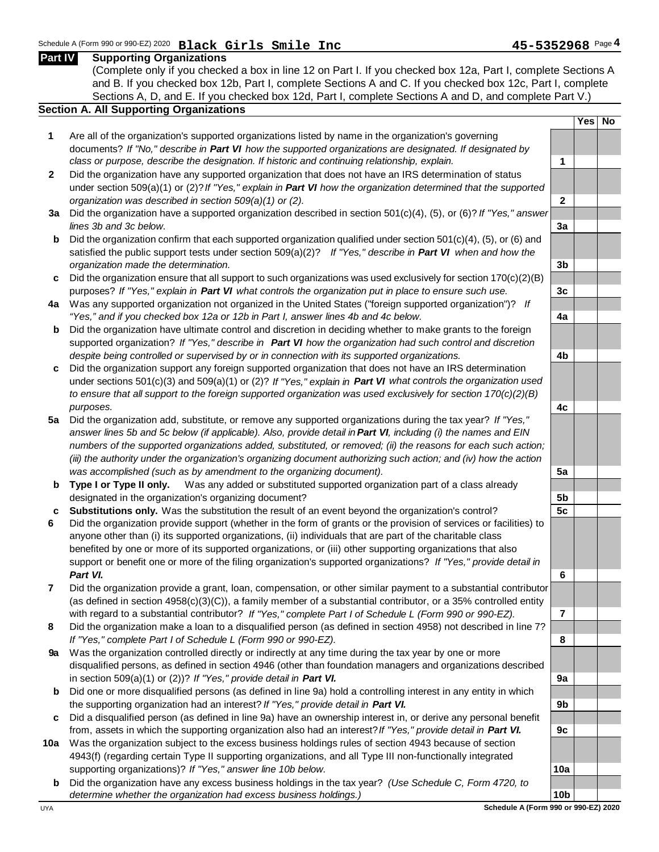### (Complete only if you checked a box in line 12 on Part I. If you checked box 12a, Part I, complete Sections A and B. If you checked box 12b, Part I, complete Sections A and C. If you checked box 12c, Part I, complete Sections A, D, and E. If you checked box 12d, Part I, complete Sections A and D, and complete Part V.) **Section A. All Supporting Organizations Yes No 1** Are all of the organization's supported organizations listed by name in the organization's governing documents? *If "No," describe in Part VI how the supported organizations are designated. If designated by class or purpose, describe the designation. If historic and continuing relationship, explain.* **1 2** Did the organization have any supported organization that does not have an IRS determination of status under section 509(a)(1) or (2)? *If "Yes," explain in Part VI how the organization determined that the supported organization was described in section 509(a)(1) or (2).* **2 3a** Did the organization have a supported organization described in section 501(c)(4), (5), or (6)? *If "Yes," answer lines 3b and 3c below.* **3a b** Did the organization confirm that each supported organization qualified under section 501(c)(4), (5), or (6) and satisfied the public support tests under section 509(a)(2)? *If "Yes," describe in Part VI when and how the organization made the determination.* **3b c** Did the organization ensure that all support to such organizations was used exclusively for section 170(c)(2)(B) purposes? *If "Yes," explain in Part VI what controls the organization put in place to ensure such use.* **3c 4a** Was any supported organization not organized in the United States ("foreign supported organization")? *If "Yes," and if you checked box 12a or 12b in Part I, answer lines 4b and 4c below.* **4a b** Did the organization have ultimate control and discretion in deciding whether to make grants to the foreign supported organization? *If "Yes," describe in Part VI how the organization had such control and discretion despite being controlled or supervised by or in connection with its supported organizations.* **4b c** Did the organization support any foreign supported organization that does not have an IRS determination under sections 501(c)(3) and 509(a)(1) or (2)? *If "Yes," explain in Part VI what controls the organization used to ensure that all support to the foreign supported organization was used exclusively for section 170(c)(2)(B) purposes.* **4c 5a** Did the organization add, substitute, or remove any supported organizations during the tax year? *If "Yes," answer lines 5b and 5c below (if applicable). Also, provide detail in Part VI , including (i) the names and EIN numbers of the supported organizations added, substituted, or removed; (ii) the reasons for each such action; (iii) the authority under the organization's organizing document authorizing such action; and (iv) how the action was accomplished (such as by amendment to the organizing document).* **5a b** Type I or Type II only. Was any added or substituted supported organization part of a class already designated in the organization's organizing document? **5b c Substitutions only.** Was the substitution the result of an event beyond the organization's control? **5c 6** Did the organization provide support (whether in the form of grants or the provision of services or facilities) to anyone other than (i) its supported organizations, (ii) individuals that are part of the charitable class benefited by one or more of its supported organizations, or (iii) other supporting organizations that also support or benefit one or more of the filing organization's supported organizations? *If "Yes," provide detail in Part VI.* **6 7** Did the organization provide a grant, loan, compensation, or other similar payment to a substantial contributor (as defined in section 4958(c)(3)(C)), a family member of a substantial contributor, or a 35% controlled entity with regard to a substantial contributor? *If "Yes," complete Part I of Schedule L (Form 990 or 990-EZ).* **7 8** Did the organization make a loan to a disqualified person (as defined in section 4958) not described in line 7? *If "Yes," complete Part I of Schedule L (Form 990 or 990-EZ).* **8 9a** Was the organization controlled directly or indirectly at any time during the tax year by one or more disqualified persons, as defined in section 4946 (other than foundation managers and organizations described in section  $509(a)(1)$  or  $(2)$ ? *If "Yes," provide detail in Part VI. 9a* **b** Did one or more disqualified persons (as defined in line 9a) hold a controlling interest in any entity in which the supporting organization had an interest? *If "Yes," provide detail in Part VI.* **9b c** Did a disqualified person (as defined in line 9a) have an ownership interest in, or derive any personal benefit from, assets in which the supporting organization also had an interest? *If "Yes," provide detail in Part VI.* **9c 10a** Was the organization subject to the excess business holdings rules of section 4943 because of section 4943(f) (regarding certain Type II supporting organizations, and all Type III non-functionally integrated supporting organizations)? *If "Yes," answer line 10b below.* **10a b** Did the organization have any excess business holdings in the tax year? *(Use Schedule C, Form 4720, to*

*determine whether the organization had excess business holdings.)* **10b**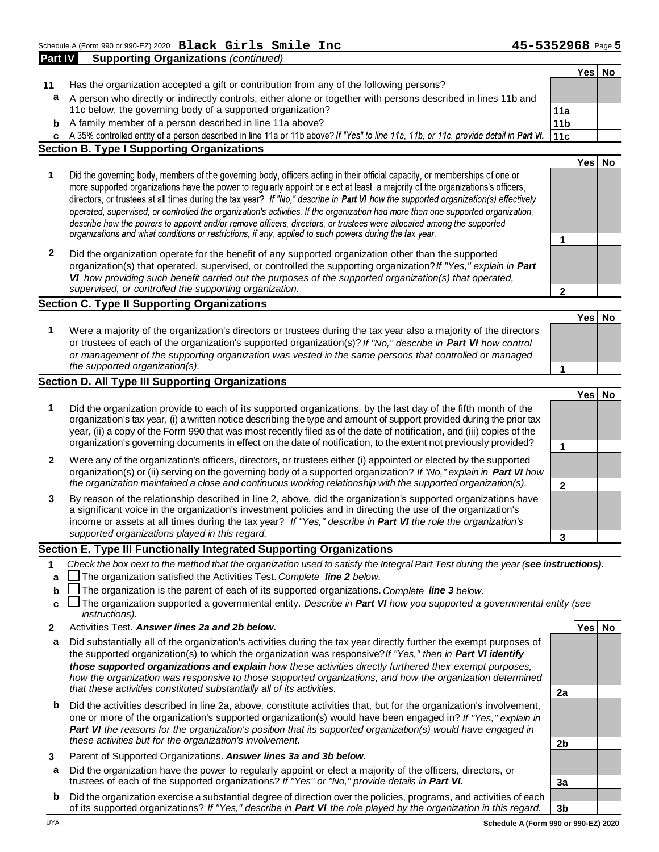**1** 

**Yes No**

**Yes No**

- **Part IV Supporting Organizations** *(continued)* **Yes No 11** Has the organization accepted a gift or contribution from any of the following persons? **a** A person who directly or indirectly controls, either alone or together with persons described in lines 11b and 11c below, the governing body of a supported organization? **11a b** A family member of a person described in line 11a above? **11b 11b 11b 11b c** A 35% controlled entity of a person described in line 11a or 11b above? If "Yes" to line 11a, 11b, or 11c, provide detail in Part VI. 11c **Section B. Type I Supporting Organizations**
	- Did the governing body, members of the governing body, officers acting in their official capacity, or memberships of one or **1**  more supported organizations have the power to regularly appoint or elect at least a majority of the organizations's officers, directors, or trustees at all times during the tax year? If "No," describe in Part VI how the supported organization(s) effectively operated, supervised, or controlled the organization's activities. If the organization had more than one supported organization, describe how the powers to appoint and/or remove officers, directors, or trustees were allocated among the supported organizations and what conditions or restrictions, if any, applied to such powers during the tax year.
	- **2** Did the organization operate for the benefit of any supported organization other than the supported organization(s) that operated, supervised, or controlled the supporting organization? *If "Yes," explain in Part VI how providing such benefit carried out the purposes of the supported organization(s) that operated, supervised, or controlled the supporting organization.* **2**

#### **Section C. Type II Supporting Organizations**

**1** Were a majority of the organization's directors or trustees during the tax year also a majority of the directors or trustees of each of the organization's supported organization(s)? *If "No," describe in Part VI how control or management of the supporting organization was vested in the same persons that controlled or managed the supported organization(s).* **1** 

#### **Section D. All Type III Supporting Organizations**

- **Yes No 1** Did the organization provide to each of its supported organizations, by the last day of the fifth month of the organization's tax year, (i) a written notice describing the type and amount of support provided during the prior tax year, (ii) a copy of the Form 990 that was most recently filed as of the date of notification, and (iii) copies of the organization's governing documents in effect on the date of notification, to the extent not previously provided? **1 2** Were any of the organization's officers, directors, or trustees either (i) appointed or elected by the supported organization(s) or (ii) serving on the governing body of a supported organization? *If "No," explain in Part VI how the organization maintained a close and continuous working relationship with the supported organization(s).* **2 3** By reason of the relationship described in line 2, above, did the organization's supported organizations have
- a significant voice in the organization's investment policies and in directing the use of the organization's income or assets at all times during the tax year? *If "Yes," describe in Part VI the role the organization's supported organizations played in this regard.* **3**

#### **Section E. Type III Functionally Integrated Supporting Organizations**

- **1** *Check the box next to the method that the organization used to satisfy the Integral Part Test during the year ( see instructions).*
- **a** The organization satisfied the Activities Test. *Complete line 2 below.*
- **b** The organization is the parent of each of its supported organizations. *Complete line 3 below.*
- **c** □ The organization supported a governmental entity. *Describe in Part Ⅵ how you supported a governmental entity (see instructions).*
- **2** Activities Test. *Answer lines 2a and 2b below.* **Yes No**
- **a** Did substantially all of the organization's activities during the tax year directly further the exempt purposes of the supported organization(s) to which the organization was responsive? *If "Yes," then in Part VI identify those supported organizations and explain how these activities directly furthered their exempt purposes,*  how the organization was responsive to those supported organizations, and how the organization determined *that these activities constituted substantially all of its activities.* **2a**
- **b** Did the activities described in line 2a, above, constitute activities that, but for the organization's involvement, one or more of the organization's supported organization(s) would have been engaged in? *If "Yes," explain in Part VI the reasons for the organization's position that its supported organization(s) would have engaged in these activities but for the organization's involvement.* **2b**
- **3** Parent of Supported Organizations. *Answer lines 3a and 3b below.*
- **a** Did the organization have the power to regularly appoint or elect a majority of the officers, directors, or trustees of each of the supported organizations? If "Yes" or "No," provide details in Part VI. **In the Soute 1** 3a
- **b** Did the organization exercise a substantial degree of direction over the policies, programs, and activities of each of its supported organizations? *If "Yes," describe in Part VI the role played by the organization in this regard.* **3b**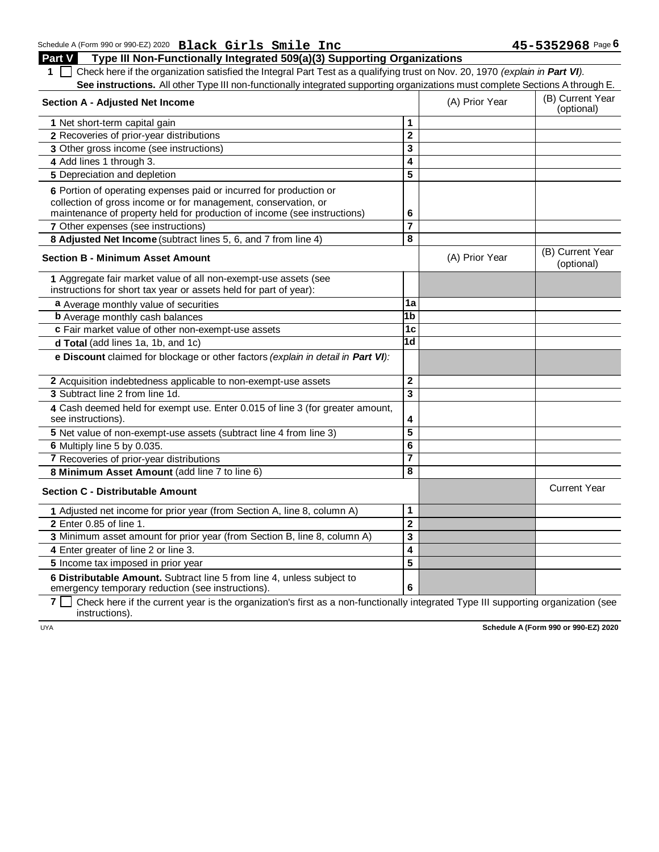Schedule A (Form 990 or 990-EZ) 2020 **Black Girls Smile Inc** 45-5352968 Page 6 **Part V Type III Non-Functionally Integrated 509(a)(3) Supporting Organizations Black Girls Smile Inc 45-5352968**

1  $\Box$  Check here if the organization satisfied the Integral Part Test as a qualifying trust on Nov. 20, 1970 *(explain in Part VI).* See instructions. All other Type III non-functionally integrated supporting organizations must complete Sections A through E.

| <b>Section A - Adjusted Net Income</b>                                                                                               |                         | (A) Prior Year | (B) Current Year<br>(optional) |
|--------------------------------------------------------------------------------------------------------------------------------------|-------------------------|----------------|--------------------------------|
| 1 Net short-term capital gain                                                                                                        | 1                       |                |                                |
| 2 Recoveries of prior-year distributions                                                                                             | $\mathbf{2}$            |                |                                |
| 3 Other gross income (see instructions)                                                                                              | 3                       |                |                                |
| 4 Add lines 1 through 3.                                                                                                             | 4                       |                |                                |
| 5 Depreciation and depletion                                                                                                         | 5                       |                |                                |
| 6 Portion of operating expenses paid or incurred for production or                                                                   |                         |                |                                |
| collection of gross income or for management, conservation, or                                                                       |                         |                |                                |
| maintenance of property held for production of income (see instructions)                                                             | 6                       |                |                                |
| 7 Other expenses (see instructions)                                                                                                  | $\overline{7}$          |                |                                |
| 8 Adjusted Net Income (subtract lines 5, 6, and 7 from line 4)                                                                       | 8                       |                |                                |
| <b>Section B - Minimum Asset Amount</b>                                                                                              |                         | (A) Prior Year | (B) Current Year<br>(optional) |
| 1 Aggregate fair market value of all non-exempt-use assets (see<br>instructions for short tax year or assets held for part of year): |                         |                |                                |
| a Average monthly value of securities                                                                                                | 1a                      |                |                                |
| <b>b</b> Average monthly cash balances                                                                                               | 1b                      |                |                                |
| c Fair market value of other non-exempt-use assets                                                                                   | 1 <sub>c</sub>          |                |                                |
| d Total (add lines 1a, 1b, and 1c)                                                                                                   | $\overline{1d}$         |                |                                |
| e Discount claimed for blockage or other factors (explain in detail in Part VI):                                                     |                         |                |                                |
| 2 Acquisition indebtedness applicable to non-exempt-use assets                                                                       | $\overline{2}$          |                |                                |
| 3 Subtract line 2 from line 1d.                                                                                                      | $\overline{\mathbf{3}}$ |                |                                |
| 4 Cash deemed held for exempt use. Enter 0.015 of line 3 (for greater amount,<br>see instructions).                                  | 4                       |                |                                |
| 5 Net value of non-exempt-use assets (subtract line 4 from line 3)                                                                   | 5                       |                |                                |
| 6 Multiply line 5 by 0.035.                                                                                                          | 6                       |                |                                |
| 7 Recoveries of prior-year distributions                                                                                             | 7                       |                |                                |
| 8 Minimum Asset Amount (add line 7 to line 6)                                                                                        | 8                       |                |                                |
| <b>Section C - Distributable Amount</b>                                                                                              |                         |                | <b>Current Year</b>            |
| 1 Adjusted net income for prior year (from Section A, line 8, column A)                                                              | 1                       |                |                                |
| 2 Enter 0.85 of line 1.                                                                                                              | $\overline{2}$          |                |                                |
| 3 Minimum asset amount for prior year (from Section B, line 8, column A)                                                             | $\overline{3}$          |                |                                |
| 4 Enter greater of line 2 or line 3.                                                                                                 | 4                       |                |                                |
| 5 Income tax imposed in prior year                                                                                                   | 5                       |                |                                |
| 6 Distributable Amount. Subtract line 5 from line 4, unless subject to<br>emergency temporary reduction (see instructions).          | 6                       |                |                                |

**7**  $\Box$  Check here if the current year is the organization's first as a non-functionally integrated Type III supporting organization (see instructions).

UYA **Schedule A (Form 990 or 990-EZ) 2020**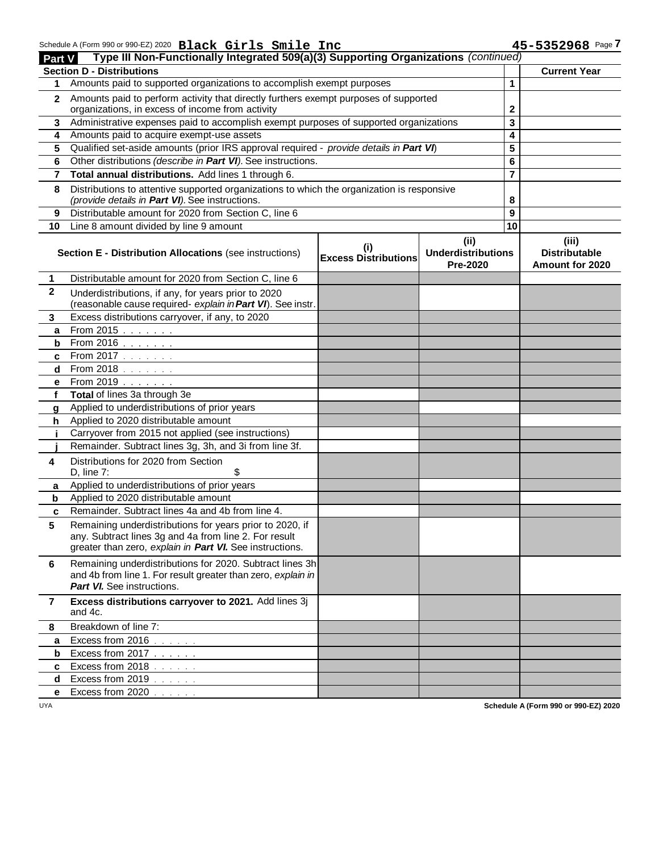| <b>Part V</b> | Schedule A (Form 990 or 990-EZ) 2020 Black Girls Smile Inc<br>Type III Non-Functionally Integrated 509(a)(3) Supporting Organizations (continued) |                                    |                                       |                 | 45-5352968 Page 7                       |
|---------------|---------------------------------------------------------------------------------------------------------------------------------------------------|------------------------------------|---------------------------------------|-----------------|-----------------------------------------|
|               | <b>Section D - Distributions</b>                                                                                                                  |                                    |                                       |                 | <b>Current Year</b>                     |
| 1             | Amounts paid to supported organizations to accomplish exempt purposes                                                                             |                                    |                                       | 1               |                                         |
| $\mathbf{2}$  | Amounts paid to perform activity that directly furthers exempt purposes of supported                                                              |                                    |                                       |                 |                                         |
|               | organizations, in excess of income from activity                                                                                                  |                                    |                                       | 2               |                                         |
| 3             | Administrative expenses paid to accomplish exempt purposes of supported organizations                                                             |                                    |                                       | 3               |                                         |
| 4             | Amounts paid to acquire exempt-use assets                                                                                                         |                                    |                                       | 4               |                                         |
| 5             | Qualified set-aside amounts (prior IRS approval required - provide details in Part VI)                                                            |                                    |                                       | 5               |                                         |
| 6             | Other distributions (describe in Part VI). See instructions.                                                                                      |                                    |                                       | 6               |                                         |
| 7             | Total annual distributions. Add lines 1 through 6.                                                                                                |                                    |                                       | 7               |                                         |
| 8             | Distributions to attentive supported organizations to which the organization is responsive<br>(provide details in Part VI). See instructions.     |                                    |                                       | 8               |                                         |
| 9             | Distributable amount for 2020 from Section C, line 6                                                                                              |                                    |                                       | 9               |                                         |
| 10            | Line 8 amount divided by line 9 amount                                                                                                            |                                    |                                       | $\overline{10}$ |                                         |
|               |                                                                                                                                                   |                                    | (i)                                   |                 | (iii)                                   |
|               | <b>Section E - Distribution Allocations (see instructions)</b>                                                                                    | (i)<br><b>Excess Distributions</b> | <b>Underdistributions</b><br>Pre-2020 |                 | <b>Distributable</b><br>Amount for 2020 |
| 1             | Distributable amount for 2020 from Section C, line 6                                                                                              |                                    |                                       |                 |                                         |
| $\mathbf{2}$  | Underdistributions, if any, for years prior to 2020<br>(reasonable cause required- explain in Part VI). See instr.                                |                                    |                                       |                 |                                         |
| 3             | Excess distributions carryover, if any, to 2020                                                                                                   |                                    |                                       |                 |                                         |
| a             | From 2015                                                                                                                                         |                                    |                                       |                 |                                         |
| b             | From 2016                                                                                                                                         |                                    |                                       |                 |                                         |
| c             | From 2017                                                                                                                                         |                                    |                                       |                 |                                         |
| d             | From 2018                                                                                                                                         |                                    |                                       |                 |                                         |
| е             | From 2019                                                                                                                                         |                                    |                                       |                 |                                         |
| f             | Total of lines 3a through 3e                                                                                                                      |                                    |                                       |                 |                                         |
| g             | Applied to underdistributions of prior years                                                                                                      |                                    |                                       |                 |                                         |
| h             | Applied to 2020 distributable amount                                                                                                              |                                    |                                       |                 |                                         |
| j.            | Carryover from 2015 not applied (see instructions)                                                                                                |                                    |                                       |                 |                                         |
|               | Remainder. Subtract lines 3g, 3h, and 3i from line 3f.                                                                                            |                                    |                                       |                 |                                         |
| 4             | Distributions for 2020 from Section                                                                                                               |                                    |                                       |                 |                                         |
|               | D, line 7:<br>\$                                                                                                                                  |                                    |                                       |                 |                                         |
| a             | Applied to underdistributions of prior years                                                                                                      |                                    |                                       |                 |                                         |
| b             | Applied to 2020 distributable amount                                                                                                              |                                    |                                       |                 |                                         |
| c             | Remainder. Subtract lines 4a and 4b from line 4.                                                                                                  |                                    |                                       |                 |                                         |
| 5             | Remaining underdistributions for years prior to 2020, if                                                                                          |                                    |                                       |                 |                                         |
|               | any. Subtract lines 3g and 4a from line 2. For result                                                                                             |                                    |                                       |                 |                                         |
|               | greater than zero, explain in Part VI. See instructions.                                                                                          |                                    |                                       |                 |                                         |
| 6             | Remaining underdistributions for 2020. Subtract lines 3h                                                                                          |                                    |                                       |                 |                                         |
|               | and 4b from line 1. For result greater than zero, explain in                                                                                      |                                    |                                       |                 |                                         |
|               | <b>Part VI.</b> See instructions.                                                                                                                 |                                    |                                       |                 |                                         |
| 7             | Excess distributions carryover to 2021. Add lines 3j<br>and 4c.                                                                                   |                                    |                                       |                 |                                         |
| 8             | Breakdown of line 7:                                                                                                                              |                                    |                                       |                 |                                         |
| a             | Excess from 2016                                                                                                                                  |                                    |                                       |                 |                                         |
| b             | Excess from 2017                                                                                                                                  |                                    |                                       |                 |                                         |
| c             | Excess from 2018                                                                                                                                  |                                    |                                       |                 |                                         |
| d             | Excess from 2019                                                                                                                                  |                                    |                                       |                 |                                         |
| е             | Excess from 2020                                                                                                                                  |                                    |                                       |                 |                                         |

UYA **Schedule A (Form 990 or 990-EZ) 2020**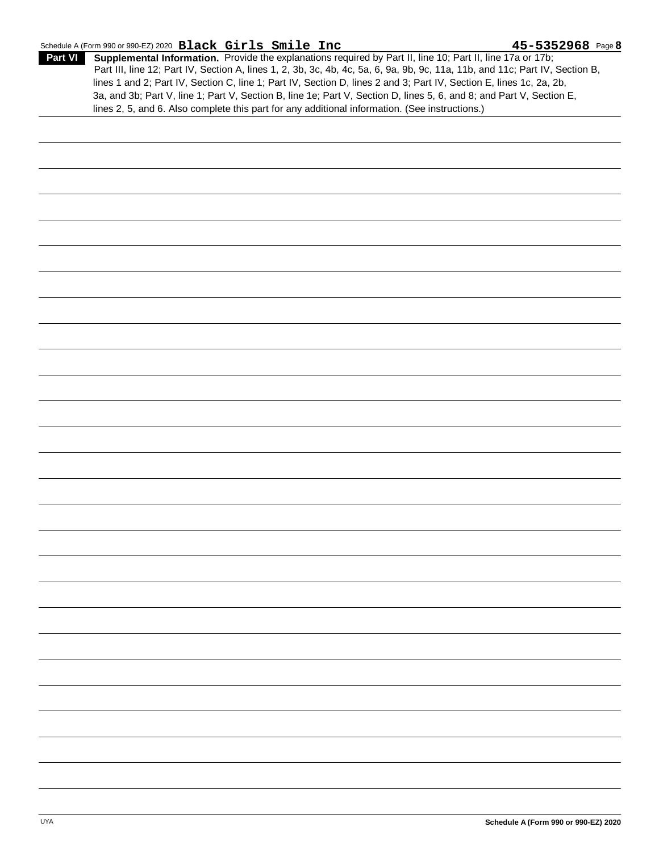#### Schedule A (Form 990 or 990-EZ) 2020 **Black Girls Smile Inc** 6-1 **45-5352968** Page **8**

**Supplemental Information.** Provide the explanations required by Part II, line 10; Part II, line 17a or 17b; **Part VI Part VI Black Girls Smile Inc 45-5352968**Part III, line 12; Part IV, Section A, lines 1, 2, 3b, 3c, 4b, 4c, 5a, 6, 9a, 9b, 9c, 11a, 11b, and 11c; Part IV, Section B, lines 1 and 2; Part IV, Section C, line 1; Part IV, Section D, lines 2 and 3; Part IV, Section E, lines 1c, 2a, 2b, 3a, and 3b; Part V, line 1; Part V, Section B, line 1e; Part V, Section D, lines 5, 6, and 8; and Part V, Section E, lines 2, 5, and 6. Also complete this part for any additional information. (See instructions.)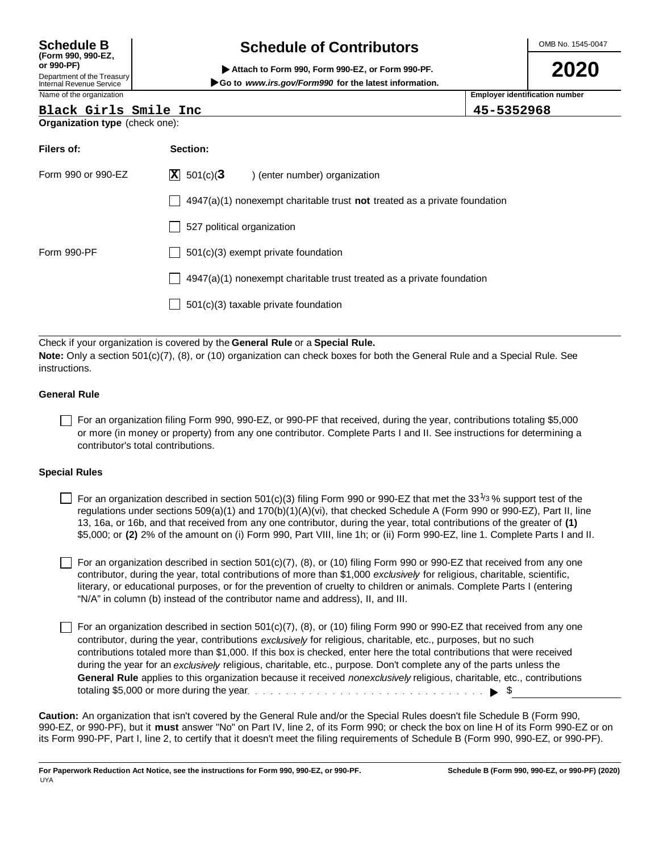#### **Schedule B (Form 990, 990-EZ, or 990-PF)** Department of the Treasury Internal Revenue Service

# **Schedule of Contributors**

 **Attach to Form 990, Form 990-EZ, or Form 990-PF. Go to** *www.irs.gov/Form990*  **for the latest information.** OMB No. 1545-0047

**2020**

Name of the organization **Employer identification number Employer identification number** 

**Black Girls Smile Inc 45-5352968**

| Black Girls Smile Inc |
|-----------------------|
|-----------------------|

| Organization type (check one): |  |  |
|--------------------------------|--|--|
|                                |  |  |

| <b>Organization type</b> (check one): |                                                                             |  |  |  |  |  |
|---------------------------------------|-----------------------------------------------------------------------------|--|--|--|--|--|
| Filers of:                            | Section:                                                                    |  |  |  |  |  |
| Form 990 or 990-EZ                    | $ \mathbf{X} $ 501(c)(3<br>) (enter number) organization                    |  |  |  |  |  |
|                                       | $4947(a)(1)$ nonexempt charitable trust not treated as a private foundation |  |  |  |  |  |
|                                       | 527 political organization                                                  |  |  |  |  |  |
| Form 990-PF                           | $501(c)(3)$ exempt private foundation                                       |  |  |  |  |  |
|                                       | 4947(a)(1) nonexempt charitable trust treated as a private foundation       |  |  |  |  |  |
|                                       | $501(c)(3)$ taxable private foundation                                      |  |  |  |  |  |
|                                       |                                                                             |  |  |  |  |  |

Check if your organization is covered by the **General Rule** or a **Special Rule. Note:** Only a section 501(c)(7), (8), or (10) organization can check boxes for both the General Rule and a Special Rule. See instructions.

#### **General Rule**

For an organization filing Form 990, 990-EZ, or 990-PF that received, during the year, contributions totaling \$5,000 or more (in money or property) from any one contributor. Complete Parts I and II. See instructions for determining a contributor's total contributions.

#### **Special Rules**

For an organization described in section 501(c)(3) filing Form 990 or 990-EZ that met the 33<sup>1/3</sup>% support test of the regulations under sections 509(a)(1) and 170(b)(1)(A)(vi), that checked Schedule A (Form 990 or 990-EZ), Part II, line 13, 16a, or 16b, and that received from any one contributor, during the year, total contributions of the greater of **(1)**  \$5,000; or **(2)** 2% of the amount on (i) Form 990, Part VIII, line 1h; or (ii) Form 990-EZ, line 1. Complete Parts I and II.

For an organization described in section  $501(c)(7)$ , (8), or (10) filing Form 990 or 990-EZ that received from any one contributor, during the year, total contributions of more than \$1,000 *exclusively* for religious, charitable, scientific, literary, or educational purposes, or for the prevention of cruelty to children or animals. Complete Parts I (entering "N/A" in column (b) instead of the contributor name and address), II, and III.

For an organization described in section  $501(c)(7)$ , (8), or (10) filing Form 990 or 990-EZ that received from any one contributor, during the year, contributions *exclusively* for religious, charitable, etc., purposes, but no such contributions totaled more than \$1,000. If this box is checked, enter here the total contributions that were received during the year for an *exclusively* religious, charitable, etc., purpose. Don't complete any of the parts unless the **General Rule** applies to this organization because it received *nonexclusively* religious, charitable, etc., contributions totaling \$5,000 or more during the year  $\ldots$   $\ldots$   $\ldots$   $\ldots$   $\ldots$   $\ldots$   $\ldots$   $\ldots$   $\ldots$   $\ldots$   $\blacktriangleright$  \$

Caution: An organization that isn't covered by the General Rule and/or the Special Rules doesn't file Schedule B (Form 990,<br>990-EZ, or 990-PF), but it must answer "No" on Part IV, line 2, of its Form 990; or check the box its Form 990-PF, Part I, line 2, to certify that it doesn't meet the filing requirements of Schedule B (Form 990, 990-EZ, or 990-PF).

**For Paperwork Reduction Act Notice, see the instructions for Form 990, 990-EZ, or 990-PF.** UYA **Schedule B (Form 990, 990-EZ, or 990-PF) (2020)**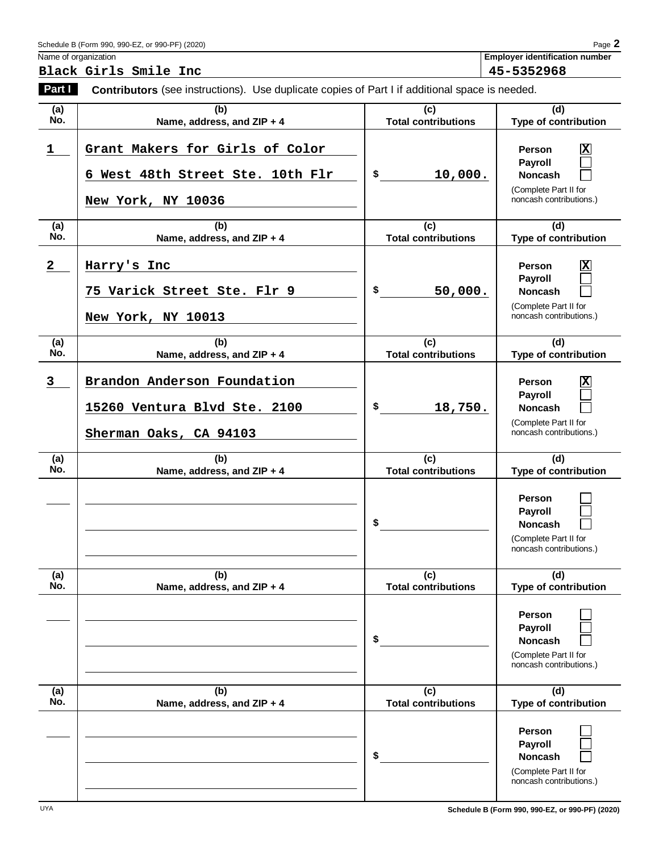| Schedule B (Form 990, 990-EZ, or 990-PF) (2020) | Page. |
|-------------------------------------------------|-------|
|-------------------------------------------------|-------|

Name of organization **Employer identification number** 

**Black Girls Smile Inc 45-5352968**

| Part I       | Contributors (see instructions). Use duplicate copies of Part I if additional space is needed. |                                   |                                                                                                                           |  |
|--------------|------------------------------------------------------------------------------------------------|-----------------------------------|---------------------------------------------------------------------------------------------------------------------------|--|
| (a)<br>No.   | (b)<br>Name, address, and ZIP + 4                                                              | (c)<br><b>Total contributions</b> | (d)<br>Type of contribution                                                                                               |  |
| 1            | Grant Makers for Girls of Color<br>6 West 48th Street Ste. 10th Flr<br>New York, NY 10036      | \$<br>10,000.                     | $\overline{\mathbf{x}}$<br>Person<br>Payroll<br><b>Noncash</b><br>(Complete Part II for<br>noncash contributions.)        |  |
| (a)<br>No.   | (b)<br>Name, address, and ZIP + 4                                                              | (c)<br><b>Total contributions</b> | (d)<br>Type of contribution                                                                                               |  |
| $\mathbf{2}$ | Harry's Inc<br>75 Varick Street Ste. Flr 9<br>New York, NY 10013                               | \$<br>50,000.                     | $\overline{\mathbf{x}}$<br><b>Person</b><br>Payroll<br><b>Noncash</b><br>(Complete Part II for<br>noncash contributions.) |  |
| (a)<br>No.   | (b)<br>Name, address, and ZIP + 4                                                              | (c)<br><b>Total contributions</b> | (d)<br>Type of contribution                                                                                               |  |
| 3            | Brandon Anderson Foundation<br>15260 Ventura Blvd Ste. 2100<br>Sherman Oaks, CA 94103          | \$<br>18,750.                     | $\overline{\mathbf{x}}$<br><b>Person</b><br>Payroll<br><b>Noncash</b><br>(Complete Part II for<br>noncash contributions.) |  |
| (a)<br>No.   | (b)<br>Name, address, and ZIP + 4                                                              | (c)<br><b>Total contributions</b> | (d)<br>Type of contribution                                                                                               |  |
|              |                                                                                                | \$                                | Person<br>Payroll<br><b>Noncash</b><br>(Complete Part II for<br>noncash contributions.)                                   |  |
| (a)<br>No.   | (b)<br>Name, address, and ZIP + 4                                                              | (c)<br><b>Total contributions</b> | (d)<br>Type of contribution                                                                                               |  |
|              |                                                                                                | \$                                | Person<br>Payroll<br><b>Noncash</b><br>(Complete Part II for<br>noncash contributions.)                                   |  |
| (a)<br>No.   | (b)<br>Name, address, and ZIP + 4                                                              | (c)<br><b>Total contributions</b> | (d)<br><b>Type of contribution</b>                                                                                        |  |
|              |                                                                                                | \$                                | Person<br>Payroll<br><b>Noncash</b><br>(Complete Part II for<br>noncash contributions.)                                   |  |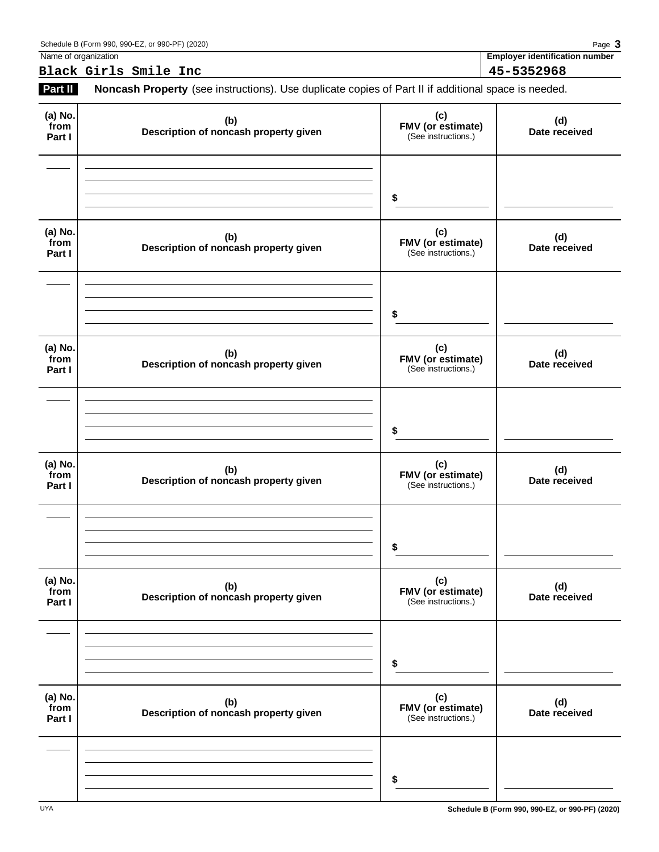| . .<br>Name<br>organizatior<br>. . | $ -$<br>number<br>ימעה<br><b>Tidentification</b><br>,,,, |
|------------------------------------|----------------------------------------------------------|

**Black Girls Smile Inc 45-5352968**

**Part II** Noncash Property (see instructions). Use duplicate copies of Part II if additional space is needed.

| (a) No.<br>from<br>Part I | (b)<br>Description of noncash property given | (c)<br><b>FMV (or estimate)</b><br>(See instructions.) | (d)<br>Date received |
|---------------------------|----------------------------------------------|--------------------------------------------------------|----------------------|
|                           |                                              | \$                                                     |                      |
| (a) No.<br>from<br>Part I | (b)<br>Description of noncash property given | (c)<br>FMV (or estimate)<br>(See instructions.)        | (d)<br>Date received |
|                           |                                              | \$                                                     |                      |
| (a) No.<br>from<br>Part I | (b)<br>Description of noncash property given | (c)<br>FMV (or estimate)<br>(See instructions.)        | (d)<br>Date received |
|                           |                                              | \$                                                     |                      |
| (a) No.<br>from<br>Part I | (b)<br>Description of noncash property given | (c)<br><b>FMV (or estimate)</b><br>(See instructions.) | (d)<br>Date received |
|                           |                                              | \$                                                     |                      |
| (a) No.<br>from<br>Part I | (b)<br>Description of noncash property given | (c)<br>FMV (or estimate)<br>(See instructions.)        | (d)<br>Date received |
|                           |                                              | \$                                                     |                      |
| (a) No.<br>from<br>Part I | (b)<br>Description of noncash property given | (c)<br>FMV (or estimate)<br>(See instructions.)        | (d)<br>Date received |
|                           |                                              | \$                                                     |                      |